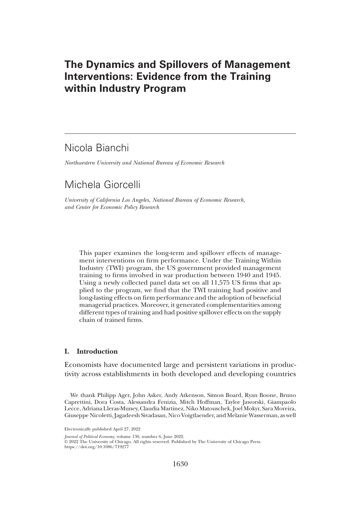# The Dynamics and Spillovers of Management Interventions: Evidence from the Training within Industry Program

# Nicola Bianchi

Northwestern University and National Bureau of Economic Research

# Michela Giorcelli

University of California Los Angeles, National Bureau of Economic Research, and Center for Economic Policy Research

This paper examines the long-term and spillover effects of management interventions on firm performance. Under the Training Within Industry (TWI) program, the US government provided management training to firms involved in war production between 1940 and 1945. Using a newly collected panel data set on all 11,575 US firms that applied to the program, we find that the TWI training had positive and long-lasting effects on firm performance and the adoption of beneficial managerial practices. Moreover, it generated complementarities among different types of training and had positive spillover effects on the supply chain of trained firms.

## I. Introduction

Economists have documented large and persistent variations in productivity across establishments in both developed and developing countries

We thank Philipp Ager, John Asker, Andy Atkenson, Simon Board, Ryan Boone, Bruno Caprettini, Dora Costa, Alessandra Fenizia, Mitch Hoffman, Taylor Jaworski, Giampaolo Lecce, Adriana Lleras-Muney, Claudia Martinez, Niko Matouschek, Joel Mokyr, Sara Moreira, Giuseppe Nicoletti, Jagadeesh Sivadasan, Nico Voigtlaender, and Melanie Wasserman, as well

Journal of Political Economy, volume 130, number 6, June 2022.

© 2022 The University of Chicago. All rights reserved. Published by The University of Chicago Press.

https://doi.org/10.1086/719277

Electronically published April 27, 2022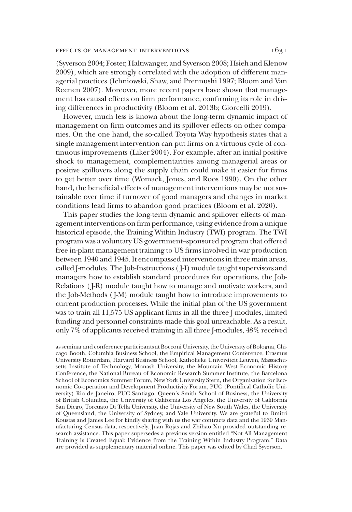### effects of management interventions 1631

(Syverson 2004; Foster, Haltiwanger, and Syverson 2008; Hsieh and Klenow 2009), which are strongly correlated with the adoption of different managerial practices (Ichniowski, Shaw, and Prennushi 1997; Bloom and Van Reenen 2007). Moreover, more recent papers have shown that management has causal effects on firm performance, confirming its role in driving differences in productivity (Bloom et al. 2013b; Giorcelli 2019).

However, much less is known about the long-term dynamic impact of management on firm outcomes and its spillover effects on other companies. On the one hand, the so-called Toyota Way hypothesis states that a single management intervention can put firms on a virtuous cycle of continuous improvements (Liker 2004). For example, after an initial positive shock to management, complementarities among managerial areas or positive spillovers along the supply chain could make it easier for firms to get better over time (Womack, Jones, and Roos 1990). On the other hand, the beneficial effects of management interventions may be not sustainable over time if turnover of good managers and changes in market conditions lead firms to abandon good practices (Bloom et al. 2020).

This paper studies the long-term dynamic and spillover effects of management interventions on firm performance, using evidence from a unique historical episode, the Training Within Industry (TWI) program. The TWI program was a voluntary US government–sponsored program that offered free in-plant management training to US firms involved in war production between 1940 and 1945. It encompassed interventions in three main areas, called J-modules. The Job-Instructions ( J-I) module taught supervisors and managers how to establish standard procedures for operations, the Job-Relations ( J-R) module taught how to manage and motivate workers, and the Job-Methods ( J-M) module taught how to introduce improvements to current production processes. While the initial plan of the US government was to train all 11,575 US applicant firms in all the three J-modules, limited funding and personnel constraints made this goal unreachable. As a result, only 7% of applicants received training in all three J-modules, 48% received

as seminar and conference participants at Bocconi University, the University of Bologna, Chicago Booth, Columbia Business School, the Empirical Management Conference, Erasmus University Rotterdam, Harvard Business School, Katholieke Universiteit Leuven, Massachusetts Institute of Technology, Monash University, the Mountain West Economic History Conference, the National Bureau of Economic Research Summer Institute, the Barcelona School of Economics Summer Forum, New York University Stern, the Organisation for Economic Co-operation and Development Productivity Forum, PUC (Pontifical Catholic University) Rio de Janeiro, PUC Santiago, Queen's Smith School of Business, the University of British Columbia, the University of California Los Angeles, the University of California San Diego, Torcuato Di Tella University, the University of New South Wales, the University of Queensland, the University of Sydney, and Yale University. We are grateful to Dmitri Koustas and James Lee for kindly sharing with us the war contracts data and the 1939 Manufacturing Census data, respectively. Juan Rojas and Zhihao Xu provided outstanding research assistance. This paper supersedes a previous version entitled "Not All Management Training Is Created Equal: Evidence from the Training Within Industry Program." Data are provided as supplementary material online. This paper was edited by Chad Syverson.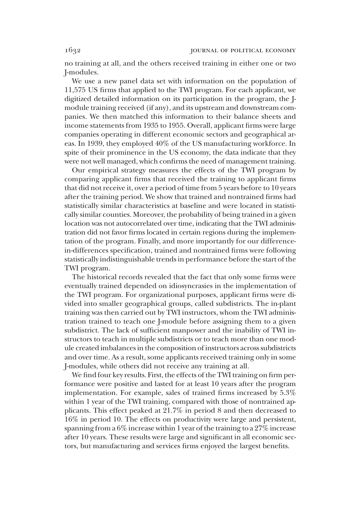no training at all, and the others received training in either one or two J-modules.

We use a new panel data set with information on the population of 11,575 US firms that applied to the TWI program. For each applicant, we digitized detailed information on its participation in the program, the Jmodule training received (if any), and its upstream and downstream companies. We then matched this information to their balance sheets and income statements from 1935 to 1955. Overall, applicant firms were large companies operating in different economic sectors and geographical areas. In 1939, they employed 40% of the US manufacturing workforce. In spite of their prominence in the US economy, the data indicate that they were not well managed, which confirms the need of management training.

Our empirical strategy measures the effects of the TWI program by comparing applicant firms that received the training to applicant firms that did not receive it, over a period of time from 5 years before to 10 years after the training period. We show that trained and nontrained firms had statistically similar characteristics at baseline and were located in statistically similar counties. Moreover, the probability of being trained in a given location was not autocorrelated over time, indicating that the TWI administration did not favor firms located in certain regions during the implementation of the program. Finally, and more importantly for our differencein-differences specification, trained and nontrained firms were following statistically indistinguishable trends in performance before the start of the TWI program.

The historical records revealed that the fact that only some firms were eventually trained depended on idiosyncrasies in the implementation of the TWI program. For organizational purposes, applicant firms were divided into smaller geographical groups, called subdistricts. The in-plant training was then carried out by TWI instructors, whom the TWI administration trained to teach one J-module before assigning them to a given subdistrict. The lack of sufficient manpower and the inability of TWI instructors to teach in multiple subdistricts or to teach more than one module created imbalances in the composition of instructors across subdistricts and over time. As a result, some applicants received training only in some J-modules, while others did not receive any training at all.

We find four key results. First, the effects of the TWI training on firm performance were positive and lasted for at least 10 years after the program implementation. For example, sales of trained firms increased by 5.3% within 1 year of the TWI training, compared with those of nontrained applicants. This effect peaked at 21.7% in period 8 and then decreased to 16% in period 10. The effects on productivity were large and persistent, spanning from a 6% increase within 1 year of the training to a 27% increase after 10 years. These results were large and significant in all economic sectors, but manufacturing and services firms enjoyed the largest benefits.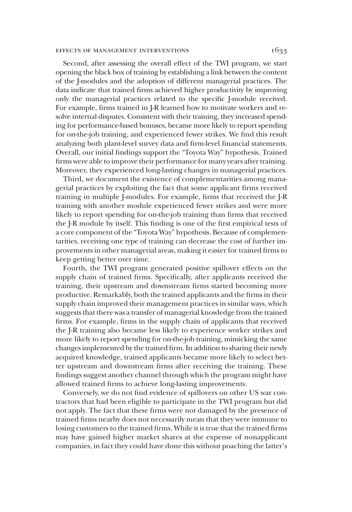### EFFECTS OF MANAGEMENT INTERVENTIONS 1633

Second, after assessing the overall effect of the TWI program, we start opening the black box of training by establishing a link between the content of the J-modules and the adoption of different managerial practices. The data indicate that trained firms achieved higher productivity by improving only the managerial practices related to the specific J-module received. For example, firms trained in J-R learned how to motivate workers and resolve internal disputes. Consistent with their training, they increased spending for performance-based bonuses, became more likely to report spending for on-the-job training, and experienced fewer strikes. We find this result analyzing both plant-level survey data and firm-level financial statements. Overall, our initial findings support the "Toyota Way" hypothesis. Trained firms were able to improve their performance for many years after training. Moreover, they experienced long-lasting changes in managerial practices.

Third, we document the existence of complementarities among managerial practices by exploiting the fact that some applicant firms received training in multiple J-modules. For example, firms that received the J-R training with another module experienced fewer strikes and were more likely to report spending for on-the-job training than firms that received the J-R module by itself. This finding is one of the first empirical tests of a core component of the "Toyota Way" hypothesis. Because of complementarities, receiving one type of training can decrease the cost of further improvements in other managerial areas, making it easier for trained firms to keep getting better over time.

Fourth, the TWI program generated positive spillover effects on the supply chain of trained firms. Specifically, after applicants received the training, their upstream and downstream firms started becoming more productive. Remarkably, both the trained applicants and the firms in their supply chain improved their management practices in similar ways, which suggests that there was a transfer of managerial knowledge from the trained firms. For example, firms in the supply chain of applicants that received the J-R training also became less likely to experience worker strikes and more likely to report spending for on-the-job training, mimicking the same changes implemented by the trained firm. In addition to sharing their newly acquired knowledge, trained applicants became more likely to select better upstream and downstream firms after receiving the training. These findings suggest another channel through which the program might have allowed trained firms to achieve long-lasting improvements.

Conversely, we do not find evidence of spillovers on other US war contractors that had been eligible to participate in the TWI program but did not apply. The fact that these firms were not damaged by the presence of trained firms nearby does not necessarily mean that they were immune to losing customers to the trained firms. While it is true that the trained firms may have gained higher market shares at the expense of nonapplicant companies, in fact they could have done this without poaching the latter's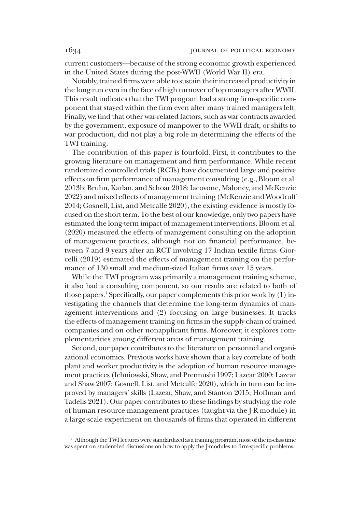current customers—because of the strong economic growth experienced in the United States during the post-WWII (World War II) era.

Notably, trained firms were able to sustain their increased productivity in the long run even in the face of high turnover of top managers after WWII. This result indicates that the TWI program had a strong firm-specific component that stayed within the firm even after many trained managers left. Finally, we find that other war-related factors, such as war contracts awarded by the government, exposure of manpower to the WWII draft, or shifts to war production, did not play a big role in determining the effects of the TWI training.

The contribution of this paper is fourfold. First, it contributes to the growing literature on management and firm performance. While recent randomized controlled trials (RCTs) have documented large and positive effects on firm performance of management consulting (e.g., Bloom et al. 2013b; Bruhn, Karlan, and Schoar 2018; Iacovone, Maloney, and McKenzie 2022) and mixed effects of management training (McKenzie and Woodruff 2014; Gosnell, List, and Metcalfe 2020), the existing evidence is mostly focused on the short term. To the best of our knowledge, only two papers have estimated the long-term impact of management interventions. Bloom et al. (2020) measured the effects of management consulting on the adoption of management practices, although not on financial performance, between 7 and 9 years after an RCT involving 17 Indian textile firms. Giorcelli (2019) estimated the effects of management training on the performance of 130 small and medium-sized Italian firms over 15 years.

While the TWI program was primarily a management training scheme, it also had a consulting component, so our results are related to both of those papers.<sup>1</sup> Specifically, our paper complements this prior work by  $(1)$  investigating the channels that determine the long-term dynamics of management interventions and (2) focusing on large businesses. It tracks the effects of management training on firms in the supply chain of trained companies and on other nonapplicant firms. Moreover, it explores complementarities among different areas of management training.

Second, our paper contributes to the literature on personnel and organizational economics. Previous works have shown that a key correlate of both plant and worker productivity is the adoption of human resource management practices (Ichniowski, Shaw, and Prennushi 1997; Lazear 2000; Lazear and Shaw 2007; Gosnell, List, and Metcalfe 2020), which in turn can be improved by managers' skills (Lazear, Shaw, and Stanton 2015; Hoffman and Tadelis 2021). Our paper contributes to these findings by studying the role of human resource management practices (taught via the J-R module) in a large-scale experiment on thousands of firms that operated in different

<sup>&</sup>lt;sup>1</sup> Although the TWI lectures were standardized as a training program, most of the in-class time was spent on student-led discussions on how to apply the J-modules to firm-specific problems.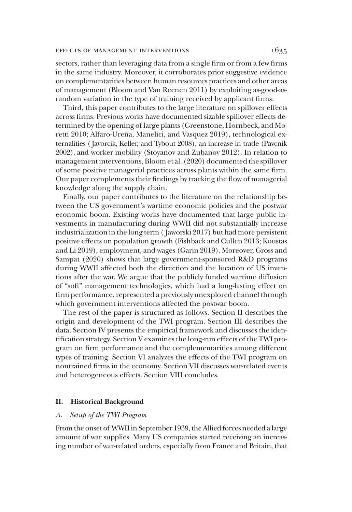### EFFECTS OF MANAGEMENT INTERVENTIONS  $1635$

sectors, rather than leveraging data from a single firm or from a few firms in the same industry. Moreover, it corroborates prior suggestive evidence on complementarities between human resources practices and other areas of management (Bloom and Van Reenen 2011) by exploiting as-good-asrandom variation in the type of training received by applicant firms.

Third, this paper contributes to the large literature on spillover effects across firms. Previous works have documented sizable spillover effects determined by the opening of large plants (Greenstone, Hornbeck, and Moretti 2010; Alfaro-Ureña, Manelici, and Vasquez 2019), technological externalities ( Javorcik, Keller, and Tybout 2008), an increase in trade (Pavcnik 2002), and worker mobility (Stoyanov and Zubanov 2012). In relation to management interventions, Bloom et al. (2020) documented the spillover of some positive managerial practices across plants within the same firm. Our paper complements their findings by tracking the flow of managerial knowledge along the supply chain.

Finally, our paper contributes to the literature on the relationship between the US government's wartime economic policies and the postwar economic boom. Existing works have documented that large public investments in manufacturing during WWII did not substantially increase industrialization in the long term ( Jaworski 2017) but had more persistent positive effects on population growth (Fishback and Cullen 2013; Koustas and Li 2019), employment, and wages (Garin 2019). Moreover, Gross and Sampat (2020) shows that large government-sponsored R&D programs during WWII affected both the direction and the location of US inventions after the war. We argue that the publicly funded wartime diffusion of "soft" management technologies, which had a long-lasting effect on firm performance, represented a previously unexplored channel through which government interventions affected the postwar boom.

The rest of the paper is structured as follows. Section II describes the origin and development of the TWI program. Section III describes the data. Section IV presents the empirical framework and discusses the identification strategy. Section V examines the long-run effects of the TWI program on firm performance and the complementarities among different types of training. Section VI analyzes the effects of the TWI program on nontrained firms in the economy. Section VII discusses war-related events and heterogeneous effects. Section VIII concludes.

# II. Historical Background

# A. Setup of the TWI Program

From the onset of WWII in September 1939, the Allied forces needed a large amount of war supplies. Many US companies started receiving an increasing number of war-related orders, especially from France and Britain, that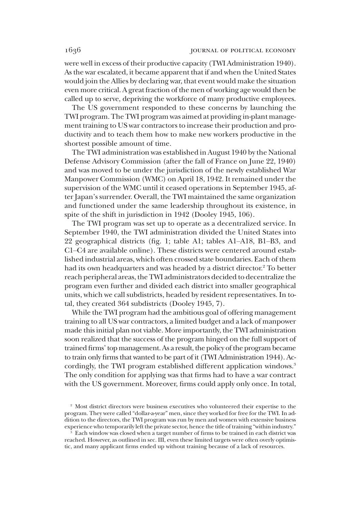were well in excess of their productive capacity (TWI Administration 1940). As the war escalated, it became apparent that if and when the United States would join the Allies by declaring war, that event would make the situation even more critical. A great fraction of the men of working age would then be called up to serve, depriving the workforce of many productive employees.

The US government responded to these concerns by launching the TWI program. The TWI program was aimed at providing in-plant management training to US war contractors to increase their production and productivity and to teach them how to make new workers productive in the shortest possible amount of time.

The TWI administration was established in August 1940 by the National Defense Advisory Commission (after the fall of France on June 22, 1940) and was moved to be under the jurisdiction of the newly established War Manpower Commission (WMC) on April 18, 1942. It remained under the supervision of the WMC until it ceased operations in September 1945, after Japan's surrender. Overall, the TWI maintained the same organization and functioned under the same leadership throughout its existence, in spite of the shift in jurisdiction in 1942 (Dooley 1945, 106).

The TWI program was set up to operate as a decentralized service. In September 1940, the TWI administration divided the United States into 22 geographical districts (fig. 1; table A1; tables A1–A18, B1–B3, and C1–C4 are available online). These districts were centered around established industrial areas, which often crossed state boundaries. Each of them had its own headquarters and was headed by a district director.<sup>2</sup> To better reach peripheral areas, the TWI administrators decided to decentralize the program even further and divided each district into smaller geographical units, which we call subdistricts, headed by resident representatives. In total, they created 364 subdistricts (Dooley 1945, 7).

While the TWI program had the ambitious goal of offering management training to all US war contractors, a limited budget and a lack of manpower made this initial plan not viable. More importantly, the TWI administration soon realized that the success of the program hinged on the full support of trained firms'top management. As a result, the policy of the program became to train only firms that wanted to be part of it (TWI Administration 1944). Accordingly, the TWI program established different application windows.<sup>3</sup> The only condition for applying was that firms had to have a war contract with the US government. Moreover, firms could apply only once. In total,

<sup>&</sup>lt;sup>2</sup> Most district directors were business executives who volunteered their expertise to the program. They were called "dollar-a-year" men, since they worked for free for the TWI. In addition to the directors, the TWI program was run by men and women with extensive business experience who temporarily left the private sector, hence the title of training "within industry."

<sup>3</sup> Each window was closed when a target number of firms to be trained in each district was reached. However, as outlined in sec. III, even these limited targets were often overly optimistic, and many applicant firms ended up without training because of a lack of resources.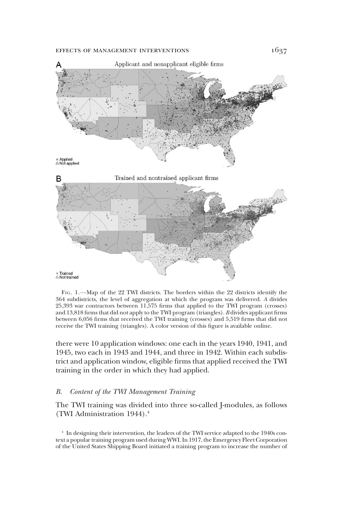### EFFECTS OF MANAGEMENT INTERVENTIONS  $1637$



FIG. 1.—Map of the 22 TWI districts. The borders within the 22 districts identify the 364 subdistricts, the level of aggregation at which the program was delivered. A divides 25,393 war contractors between 11,575 firms that applied to the TWI program (crosses) and 13,818 firms that did not apply to the TWI program (triangles). B divides applicant firms between 6,056 firms that received the TWI training (crosses) and 5,519 firms that did not receive the TWI training (triangles). A color version of this figure is available online.

there were 10 application windows: one each in the years 1940, 1941, and 1945, two each in 1943 and 1944, and three in 1942. Within each subdistrict and application window, eligible firms that applied received the TWI training in the order in which they had applied.

### B. Content of the TWI Management Training

The TWI training was divided into three so-called J-modules, as follows (TWI Administration 1944).4

<sup>4</sup> In designing their intervention, the leaders of the TWI service adapted to the 1940s context a popular training program used during WWI. In 1917, the Emergency Fleet Corporation of the United States Shipping Board initiated a training program to increase the number of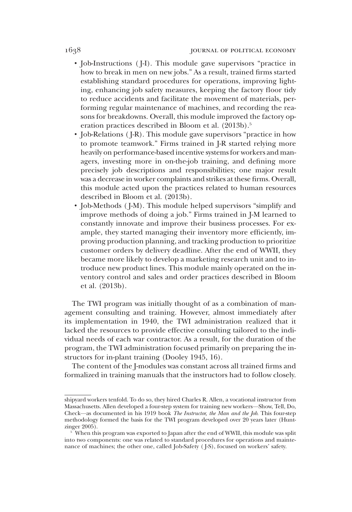- Job-Instructions ( J-I). This module gave supervisors "practice in how to break in men on new jobs." As a result, trained firms started establishing standard procedures for operations, improving lighting, enhancing job safety measures, keeping the factory floor tidy to reduce accidents and facilitate the movement of materials, performing regular maintenance of machines, and recording the reasons for breakdowns. Overall, this module improved the factory operation practices described in Bloom et al. (2013b).<sup>5</sup>
- Job-Relations ( J-R). This module gave supervisors "practice in how to promote teamwork." Firms trained in J-R started relying more heavily on performance-based incentive systems for workers and managers, investing more in on-the-job training, and defining more precisely job descriptions and responsibilities; one major result was a decrease in worker complaints and strikes at these firms. Overall, this module acted upon the practices related to human resources described in Bloom et al. (2013b).
- Job-Methods ( J-M). This module helped supervisors "simplify and improve methods of doing a job." Firms trained in J-M learned to constantly innovate and improve their business processes. For example, they started managing their inventory more efficiently, improving production planning, and tracking production to prioritize customer orders by delivery deadline. After the end of WWII, they became more likely to develop a marketing research unit and to introduce new product lines. This module mainly operated on the inventory control and sales and order practices described in Bloom et al. (2013b).

The TWI program was initially thought of as a combination of management consulting and training. However, almost immediately after its implementation in 1940, the TWI administration realized that it lacked the resources to provide effective consulting tailored to the individual needs of each war contractor. As a result, for the duration of the program, the TWI administration focused primarily on preparing the instructors for in-plant training (Dooley 1945, 16).

The content of the J-modules was constant across all trained firms and formalized in training manuals that the instructors had to follow closely.

shipyard workers tenfold. To do so, they hired Charles R. Allen, a vocational instructor from Massachusetts. Allen developed a four-step system for training new workers—Show, Tell, Do, Check—as documented in his 1919 book The Instructor, the Man and the Job. This four-step methodology formed the basis for the TWI program developed over 20 years later (Huntzinger 2005).

<sup>5</sup> When this program was exported to Japan after the end of WWII, this module was split into two components: one was related to standard procedures for operations and maintenance of machines; the other one, called Job-Safety ( J-S), focused on workers' safety.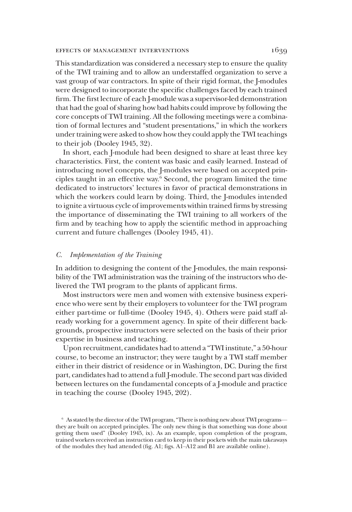### effects of management interventions 1639

This standardization was considered a necessary step to ensure the quality of the TWI training and to allow an understaffed organization to serve a vast group of war contractors. In spite of their rigid format, the J-modules were designed to incorporate the specific challenges faced by each trained firm. The first lecture of each J-module was a supervisor-led demonstration that had the goal of sharing how bad habits could improve by following the core concepts of TWI training. All the following meetings were a combination of formal lectures and "student presentations," in which the workers under training were asked to show how they could apply the TWI teachings to their job (Dooley 1945, 32).

In short, each J-module had been designed to share at least three key characteristics. First, the content was basic and easily learned. Instead of introducing novel concepts, the J-modules were based on accepted principles taught in an effective way.6 Second, the program limited the time dedicated to instructors' lectures in favor of practical demonstrations in which the workers could learn by doing. Third, the J-modules intended to ignite a virtuous cycle of improvements within trained firms by stressing the importance of disseminating the TWI training to all workers of the firm and by teaching how to apply the scientific method in approaching current and future challenges (Dooley 1945, 41).

# C. Implementation of the Training

In addition to designing the content of the J-modules, the main responsibility of the TWI administration was the training of the instructors who delivered the TWI program to the plants of applicant firms.

Most instructors were men and women with extensive business experience who were sent by their employers to volunteer for the TWI program either part-time or full-time (Dooley 1945, 4). Others were paid staff already working for a government agency. In spite of their different backgrounds, prospective instructors were selected on the basis of their prior expertise in business and teaching.

Upon recruitment, candidates had to attend a "TWI institute," a 50-hour course, to become an instructor; they were taught by a TWI staff member either in their district of residence or in Washington, DC. During the first part, candidates had to attend a full J-module. The second part was divided between lectures on the fundamental concepts of a J-module and practice in teaching the course (Dooley 1945, 202).

<sup>&</sup>lt;sup>6</sup> As stated by the director of the TWI program, "There is nothing new about TWI programs they are built on accepted principles. The only new thing is that something was done about getting them used" (Dooley 1945, ix). As an example, upon completion of the program, trained workers received an instruction card to keep in their pockets with the main takeaways of the modules they had attended (fig. A1; figs. A1–A12 and B1 are available online).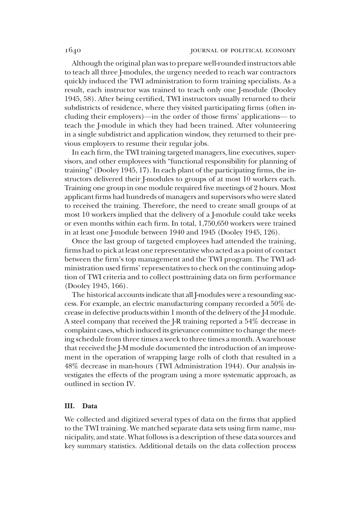Although the original plan was to prepare well-rounded instructors able to teach all three J-modules, the urgency needed to reach war contractors quickly induced the TWI administration to form training specialists. As a result, each instructor was trained to teach only one J-module (Dooley 1945, 58). After being certified, TWI instructors usually returned to their subdistricts of residence, where they visited participating firms (often including their employers)—in the order of those firms' applications— to teach the J-module in which they had been trained. After volunteering in a single subdistrict and application window, they returned to their previous employers to resume their regular jobs.

In each firm, the TWI training targeted managers, line executives, supervisors, and other employees with "functional responsibility for planning of training" (Dooley 1945, 17). In each plant of the participating firms, the instructors delivered their J-modules to groups of at most 10 workers each. Training one group in one module required five meetings of 2 hours. Most applicant firms had hundreds of managers and supervisors who were slated to received the training. Therefore, the need to create small groups of at most 10 workers implied that the delivery of a J-module could take weeks or even months within each firm. In total, 1,750,650 workers were trained in at least one J-module between 1940 and 1945 (Dooley 1945, 126).

Once the last group of targeted employees had attended the training, firms had to pick at least one representative who acted as a point of contact between the firm's top management and the TWI program. The TWI administration used firms'representatives to check on the continuing adoption of TWI criteria and to collect posttraining data on firm performance (Dooley 1945, 166).

The historical accounts indicate that all J-modules were a resounding success. For example, an electric manufacturing company recorded a 50% decrease in defective products within 1 month of the delivery of the J-I module. A steel company that received the J-R training reported a 54% decrease in complaint cases, which induced its grievance committee to change the meeting schedule from three times a week to three times a month. A warehouse that received the J-M module documented the introduction of an improvement in the operation of wrapping large rolls of cloth that resulted in a 48% decrease in man-hours (TWI Administration 1944). Our analysis investigates the effects of the program using a more systematic approach, as outlined in section IV.

# III. Data

We collected and digitized several types of data on the firms that applied to the TWI training. We matched separate data sets using firm name, municipality, and state. What follows is a description of these data sources and key summary statistics. Additional details on the data collection process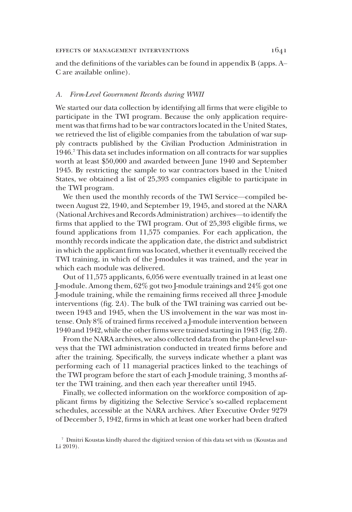and the definitions of the variables can be found in appendix B (apps. A– C are available online).

# A. Firm-Level Government Records during WWII

We started our data collection by identifying all firms that were eligible to participate in the TWI program. Because the only application requirement was that firms had to be war contractors located in the United States, we retrieved the list of eligible companies from the tabulation of war supply contracts published by the Civilian Production Administration in 1946.7 This data set includes information on all contracts for war supplies worth at least \$50,000 and awarded between June 1940 and September 1945. By restricting the sample to war contractors based in the United States, we obtained a list of 25,393 companies eligible to participate in the TWI program.

We then used the monthly records of the TWI Service—compiled between August 22, 1940, and September 19, 1945, and stored at the NARA (National Archives and Records Administration) archives—to identify the firms that applied to the TWI program. Out of 25,393 eligible firms, we found applications from 11,575 companies. For each application, the monthly records indicate the application date, the district and subdistrict in which the applicant firm was located, whether it eventually received the TWI training, in which of the J-modules it was trained, and the year in which each module was delivered.

Out of 11,575 applicants, 6,056 were eventually trained in at least one J-module. Among them, 62% got two J-module trainings and 24% got one J-module training, while the remaining firms received all three J-module interventions (fig. 2A). The bulk of the TWI training was carried out between 1943 and 1945, when the US involvement in the war was most intense. Only 8% of trained firms received a J-module intervention between 1940 and 1942, while the other firms were trained starting in 1943 (fig. 2B).

From the NARA archives, we also collected data from the plant-level surveys that the TWI administration conducted in treated firms before and after the training. Specifically, the surveys indicate whether a plant was performing each of 11 managerial practices linked to the teachings of the TWI program before the start of each J-module training, 3 months after the TWI training, and then each year thereafter until 1945.

Finally, we collected information on the workforce composition of applicant firms by digitizing the Selective Service's so-called replacement schedules, accessible at the NARA archives. After Executive Order 9279 of December 5, 1942, firms in which at least one worker had been drafted

<sup>7</sup> Dmitri Koustas kindly shared the digitized version of this data set with us (Koustas and Li 2019).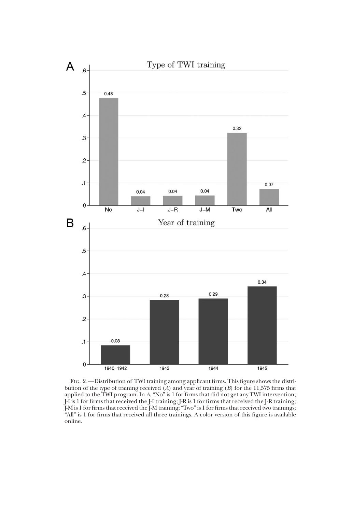

FIG. 2.—Distribution of TWI training among applicant firms. This figure shows the distribution of the type of training received  $(A)$  and year of training  $(B)$  for the 11,575 firms that applied to the TWI program. In A, "No" is 1 for firms that did not get any TWI intervention; J-I is 1 for firms that received the J-I training; J-R is 1 for firms that received the J-R training; J-M is 1 for firms that received the J-M training;"Two"is 1 for firms that received two trainings; "All" is 1 for firms that received all three trainings. A color version of this figure is available online.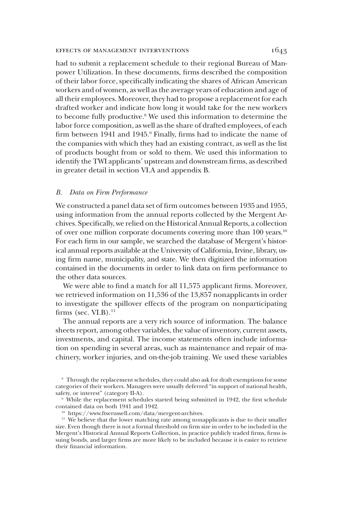### EFFECTS OF MANAGEMENT INTERVENTIONS  $1643$

had to submit a replacement schedule to their regional Bureau of Manpower Utilization. In these documents, firms described the composition of their labor force, specifically indicating the shares of African American workers and of women, as well as the average years of education and age of all their employees. Moreover, they had to propose a replacement for each drafted worker and indicate how long it would take for the new workers to become fully productive.<sup>8</sup> We used this information to determine the labor force composition, as well as the share of drafted employees, of each firm between 1941 and 1945.<sup>9</sup> Finally, firms had to indicate the name of the companies with which they had an existing contract, as well as the list of products bought from or sold to them. We used this information to identify the TWI applicants' upstream and downstream firms, as described in greater detail in section VI.A and appendix B.

### B. Data on Firm Performance

We constructed a panel data set of firm outcomes between 1935 and 1955, using information from the annual reports collected by the Mergent Archives. Specifically, we relied on the Historical Annual Reports, a collection of over one million corporate documents covering more than 100 years.10 For each firm in our sample, we searched the database of Mergent's historical annual reports available at the University of California, Irvine, library, using firm name, municipality, and state. We then digitized the information contained in the documents in order to link data on firm performance to the other data sources.

We were able to find a match for all 11,575 applicant firms. Moreover, we retrieved information on 11,536 of the 13,857 nonapplicants in order to investigate the spillover effects of the program on nonparticipating firms (sec.  $VI.B$ ). $^{11}$ 

The annual reports are a very rich source of information. The balance sheets report, among other variables, the value of inventory, current assets, investments, and capital. The income statements often include information on spending in several areas, such as maintenance and repair of machinery, worker injuries, and on-the-job training. We used these variables

<sup>8</sup> Through the replacement schedules, they could also ask for draft exemptions for some categories of their workers. Managers were usually deferred "in support of national health, safety, or interest" (category II-A).

<sup>&</sup>lt;sup>9</sup> While the replacement schedules started being submitted in 1942, the first schedule contained data on both 1941 and 1942.

<sup>10</sup> https://www.ftserussell.com/data/mergent-archives.

<sup>&</sup>lt;sup>11</sup> We believe that the lower matching rate among nonapplicants is due to their smaller size. Even though there is not a formal threshold on firm size in order to be included in the Mergent's Historical Annual Reports Collection, in practice publicly traded firms, firms issuing bonds, and larger firms are more likely to be included because it is easier to retrieve their financial information.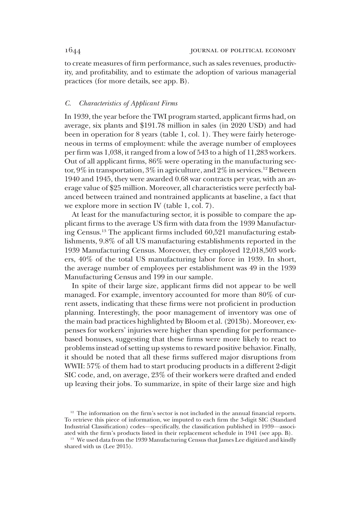to create measures of firm performance, such as sales revenues, productivity, and profitability, and to estimate the adoption of various managerial practices (for more details, see app. B).

# C. Characteristics of Applicant Firms

In 1939, the year before the TWI program started, applicant firms had, on average, six plants and \$191.78 million in sales (in 2020 USD) and had been in operation for 8 years (table 1, col. 1). They were fairly heterogeneous in terms of employment: while the average number of employees per firm was 1,038, it ranged from a low of 543 to a high of 11,283 workers. Out of all applicant firms, 86% were operating in the manufacturing sector,  $9\%$  in transportation,  $3\%$  in agriculture, and  $2\%$  in services.<sup>12</sup> Between 1940 and 1945, they were awarded 0.68 war contracts per year, with an average value of \$25 million. Moreover, all characteristics were perfectly balanced between trained and nontrained applicants at baseline, a fact that we explore more in section IV (table 1, col. 7).

At least for the manufacturing sector, it is possible to compare the applicant firms to the average US firm with data from the 1939 Manufacturing Census.13 The applicant firms included 60,521 manufacturing establishments, 9.8% of all US manufacturing establishments reported in the 1939 Manufacturing Census. Moreover, they employed 12,018,503 workers, 40% of the total US manufacturing labor force in 1939. In short, the average number of employees per establishment was 49 in the 1939 Manufacturing Census and 199 in our sample.

In spite of their large size, applicant firms did not appear to be well managed. For example, inventory accounted for more than 80% of current assets, indicating that these firms were not proficient in production planning. Interestingly, the poor management of inventory was one of the main bad practices highlighted by Bloom et al. (2013b). Moreover, expenses for workers' injuries were higher than spending for performancebased bonuses, suggesting that these firms were more likely to react to problems instead of setting up systems to reward positive behavior. Finally, it should be noted that all these firms suffered major disruptions from WWII: 57% of them had to start producing products in a different 2-digit SIC code, and, on average, 23% of their workers were drafted and ended up leaving their jobs. To summarize, in spite of their large size and high

<sup>&</sup>lt;sup>12</sup> The information on the firm's sector is not included in the annual financial reports. To retrieve this piece of information, we imputed to each firm the 3-digit SIC (Standard Industrial Classification) codes—specifically, the classification published in 1939—associated with the firm's products listed in their replacement schedule in 1941 (see app. B).

<sup>&</sup>lt;sup>13</sup> We used data from the 1939 Manufacturing Census that James Lee digitized and kindly shared with us (Lee 2015).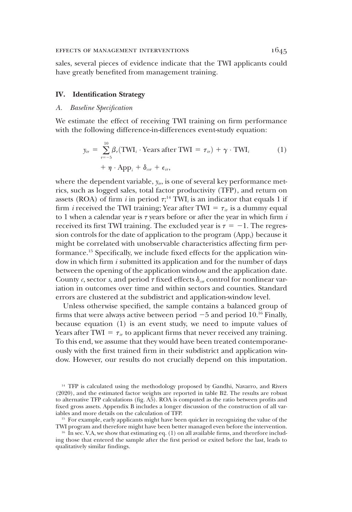sales, several pieces of evidence indicate that the TWI applicants could have greatly benefited from management training.

# IV. Identification Strategy

# A. Baseline Specification

We estimate the effect of receiving TWI training on firm performance with the following difference-in-differences event-study equation:

$$
y_{ir} = \sum_{\tau=-5}^{10} \beta_{\tau}(\text{TWI}_{i} \cdot \text{Years after TWI} = \tau_{ir}) + \gamma \cdot \text{TWI}_{i}
$$
  
+  $\eta \cdot \text{App}_{i} + \delta_{\text{csr}} + \epsilon_{ir},$  (1)

where the dependent variable,  $y_{ir}$ , is one of several key performance metrics, such as logged sales, total factor productivity (TFP), and return on assets (ROA) of firm  $i$  in period  $\tau; ^{14}$  TWI $_i$  is an indicator that equals 1 if firm *i* received the TWI training; Year after TWI =  $\tau_{i\tau}$  is a dummy equal to 1 when a calendar year is  $\tau$  years before or after the year in which firm  $i$ received its first TWI training. The excluded year is  $\tau = -1$ . The regression controls for the date of application to the program  $(App)$  because it might be correlated with unobservable characteristics affecting firm performance.15 Specifically, we include fixed effects for the application window in which firm  $i$  submitted its application and for the number of days between the opening of the application window and the application date. County c, sector s, and period  $\tau$  fixed effects  $\delta_{\alpha\tau}$  control for nonlinear variation in outcomes over time and within sectors and counties. Standard errors are clustered at the subdistrict and application-window level.

Unless otherwise specified, the sample contains a balanced group of firms that were always active between period  $-5$  and period 10.<sup>16</sup> Finally, because equation (1) is an event study, we need to impute values of Years after TWI =  $\tau_{ir}$  to applicant firms that never received any training. To this end, we assume that they would have been treated contemporaneously with the first trained firm in their subdistrict and application window. However, our results do not crucially depend on this imputation.

<sup>14</sup> TFP is calculated using the methodology proposed by Gandhi, Navarro, and Rivers (2020), and the estimated factor weights are reported in table B2. The results are robust to alternative TFP calculations (fig. A5). ROA is computed as the ratio between profits and fixed gross assets. Appendix B includes a longer discussion of the construction of all variables and more details on the calculation of TFP.

<sup>&</sup>lt;sup>15</sup> For example, early applicants might have been quicker in recognizing the value of the TWI program and therefore might have been better managed even before the intervention.

 $16$  In sec. V.A, we show that estimating eq. (1) on all available firms, and therefore including those that entered the sample after the first period or exited before the last, leads to qualitatively similar findings.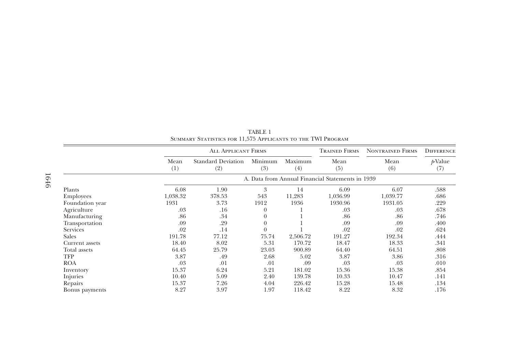|                 |             | <b>ALL APPLICANT FIRMS</b>                       |                |                | <b>TRAINED FIRMS</b> | <b>NONTRAINED FIRMS</b> | <b>DIFFERENCE</b> |  |  |  |  |  |
|-----------------|-------------|--------------------------------------------------|----------------|----------------|----------------------|-------------------------|-------------------|--|--|--|--|--|
|                 | Mean<br>(1) | <b>Standard Deviation</b><br>(2)                 | Minimum<br>(3) | Maximum<br>(4) | Mean<br>(5)          | Mean<br>(6)             | $p$ Value<br>(7)  |  |  |  |  |  |
|                 |             | A. Data from Annual Financial Statements in 1939 |                |                |                      |                         |                   |  |  |  |  |  |
| Plants          | 6.08        | 1.90                                             | 3              | 14             | 6.09                 | 6.07                    | .588              |  |  |  |  |  |
| Employees       | 1,038.32    | 378.53                                           | 543            | 11,283         | 1,036.99             | 1,039.77                | .686              |  |  |  |  |  |
| Foundation year | 1931        | 3.73                                             | 1912           | 1936           | 1930.96              | 1931.05                 | .229              |  |  |  |  |  |
| Agriculture     | .03         | .16                                              | $\Omega$       |                | .03                  | .03                     | .678              |  |  |  |  |  |
| Manufacturing   | .86         | .34                                              | $\Omega$       |                | .86                  | .86                     | .746              |  |  |  |  |  |
| Transportation  | .09         | .29                                              | $\Omega$       |                | .09                  | .09                     | .400              |  |  |  |  |  |
| <b>Services</b> | .02         | .14                                              | $\theta$       |                | .02                  | .02                     | .624              |  |  |  |  |  |
| Sales           | 191.78      | 77.12                                            | 75.74          | 2,506.72       | 191.27               | 192.34                  | .444              |  |  |  |  |  |
| Current assets  | 18.40       | 8.02                                             | 5.31           | 170.72         | 18.47                | 18.33                   | .341              |  |  |  |  |  |
| Total assets    | 64.45       | 25.79                                            | 23.03          | 900.89         | 64.40                | 64.51                   | .808              |  |  |  |  |  |
| <b>TFP</b>      | 3.87        | .49                                              | 2.68           | 5.02           | 3.87                 | 3.86                    | .316              |  |  |  |  |  |
| <b>ROA</b>      | .03         | .01                                              | .01            | .09            | .03                  | .03                     | .010              |  |  |  |  |  |
| Inventory       | 15.37       | 6.24                                             | 5.21           | 181.02         | 15.36                | 15.38                   | .854              |  |  |  |  |  |
| Injuries        | 10.40       | 5.09                                             | 2.40           | 139.78         | 10.33                | 10.47                   | .141              |  |  |  |  |  |
| Repairs         | 15.37       | 7.26                                             | 4.04           | 226.42         | 15.28                | 15.48                   | .134              |  |  |  |  |  |
| Bonus payments  | 8.27        | 3.97                                             | 1.97           | 118.42         | 8.22                 | 8.32                    | .176              |  |  |  |  |  |

TABLE 1Summary Statistics for 11,575 Applicants to the TWI Program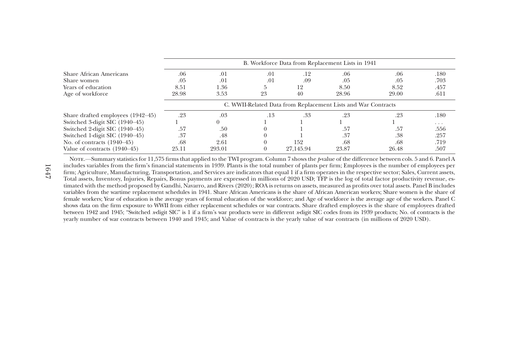|                                   | B. Workforce Data from Replacement Lists in 1941              |        |     |           |       |       |          |  |  |  |  |
|-----------------------------------|---------------------------------------------------------------|--------|-----|-----------|-------|-------|----------|--|--|--|--|
| <b>Share African Americans</b>    | .06                                                           | .01    | .01 | .12       | .06   | .06   | .180     |  |  |  |  |
| Share women                       | .05                                                           | .01    | .01 | .09       | .05   | .05   | .703     |  |  |  |  |
| Years of education                | 8.51                                                          | 1.36   | 5   | 12        | 8.50  | 8.52  | .457     |  |  |  |  |
| Age of workforce                  | 28.98                                                         | 3.53   | 23  | 40        | 28.96 | 29.00 | .611     |  |  |  |  |
|                                   | C. WWII-Related Data from Replacement Lists and War Contracts |        |     |           |       |       |          |  |  |  |  |
| Share drafted employees (1942–45) | .23                                                           | .03    | .13 | .33       | .23   | .23   | .180     |  |  |  |  |
| Switched 3-digit SIC (1940–45)    |                                                               |        |     |           |       |       | $\cdots$ |  |  |  |  |
| Switched 2-digit SIC (1940–45)    | .57                                                           | .50    |     |           | .57   | .57   | .556     |  |  |  |  |
| Switched 1-digit SIC (1940–45)    | .37                                                           | .48    |     |           | .37   | .38   | .257     |  |  |  |  |
| No. of contracts $(1940-45)$      | .68                                                           | 2.61   |     | 152       | .68   | .68   | .719     |  |  |  |  |
| Value of contracts (1940–45)      | 25.11                                                         | 293.01 |     | 27.145.94 | 23.87 | 26.48 | .507     |  |  |  |  |

Nore.—Summary statistics for 11,575 firms that applied to the TWI program. Column 7 shows the p-value of the difference between cols. 5 and 6. Panel A includes variables from the firm'<sup>s</sup> financial statements in 1939. Plants is the total number of plants per firm; Employees is the number of employees per firm; Agriculture, Manufacturing, Transportation, and Services are indicators that equal 1 if a firm operates in the respective sector; Sales, Current assets, Total assets, Inventory, Injuries, Repairs, Bonus payments are expressed in millions of 2020 USD; TFP is the log of total factor productivity revenue, estimated with the method proposed by Gandhi, Navarro, and Rivers (2020); ROA is returns on assets, measured as profits over total assets. Panel <sup>B</sup> includes variables from the wartime replacement schedules in 1941. Share African Americans is the share of African American workers; Share women is the share of female workers; Year of education is the average years of formal education of the workforce; and Age of workforce is the average age of the workers. Panel C shows data on the firm exposure to WWII from either replacement schedules or war contracts. Share drafted employees is the share of employees drafted between 1942 and 1945; "Switched <sup>x</sup>-digit SIC" is 1 if <sup>a</sup> firm'<sup>s</sup> war products were in different <sup>x</sup>-digit SIC codes from its 1939 products; No. of contracts is the yearly number of war contracts between 1940 and 1945; and Value of contracts is the yearly value of war contracts (in millions of 2020 USD).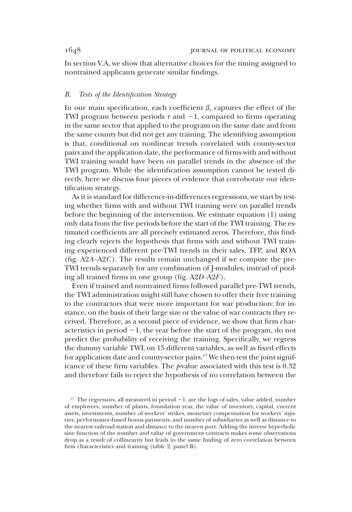In section V.A, we show that alternative choices for the timing assigned to nontrained applicants generate similar findings.

# B. Tests of the Identification Strategy

In our main specification, each coefficient  $\beta_{\tau}$  captures the effect of the TWI program between periods  $\tau$  and  $-1$ , compared to firms operating in the same sector that applied to the program on the same date and from the same county but did not get any training. The identifying assumption is that, conditional on nonlinear trends correlated with county-sector pairs and the application date, the performance of firms with and without TWI training would have been on parallel trends in the absence of the TWI program. While the identification assumption cannot be tested directly, here we discuss four pieces of evidence that corroborate our identification strategy.

As it is standard for difference-in-differences regressions, we start by testing whether firms with and without TWI training were on parallel trends before the beginning of the intervention. We estimate equation (1) using only data from the five periods before the start of the TWI training. The estimated coefficients are all precisely estimated zeros. Therefore, this finding clearly rejects the hypothesis that firms with and without TWI training experienced different pre-TWI trends in their sales, TFP, and ROA (fig.  $A2A-A2C$ ). The results remain unchanged if we compute the pre-TWI trends separately for any combination of J-modules, instead of pooling all trained firms in one group (fig. A2D–A2F).

Even if trained and nontrained firms followed parallel pre-TWI trends, the TWI administration might still have chosen to offer their free training to the contractors that were more important for war production: for instance, on the basis of their large size or the value of war contracts they received. Therefore, as a second piece of evidence, we show that firm characteristics in period  $-1$ , the year before the start of the program, do not predict the probability of receiving the training. Specifically, we regress the dummy variable  $TWI_i$  on 15 different variables, as well as fixed effects for application date and county-sector pairs.<sup>17</sup> We then test the joint significance of these firm variables. The  $p$ -value associated with this test is  $0.32$ and therefore fails to reject the hypothesis of no correlation between the

<sup>&</sup>lt;sup>17</sup> The regressors, all measured in period  $-1$ , are the logs of sales, value added, number of employees, number of plants, foundation year, the value of inventory, capital, current assets, investments, number of workers' strikes, monetary compensation for workers' injuries, performance-based bonus payments, and number of subsidiaries as well as distance to the nearest railroad station and distance to the nearest port. Adding the inverse hyperbolic sine function of the number and value of government contracts makes some observations drop as a result of collinearity but leads to the same finding of zero correlation between firm characteristics and training (table 2, panel B).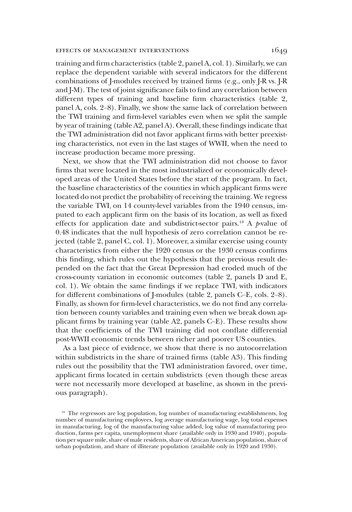### EFFECTS OF MANAGEMENT INTERVENTIONS  $1649$

training and firm characteristics (table 2, panel A, col. 1). Similarly, we can replace the dependent variable with several indicators for the different combinations of J-modules received by trained firms (e.g., only J-R vs. J-R and J-M). The test of joint significance fails to find any correlation between different types of training and baseline firm characteristics (table 2, panel A, cols. 2–8). Finally, we show the same lack of correlation between the TWI training and firm-level variables even when we split the sample by year of training (table A2, panel A). Overall, these findings indicate that the TWI administration did not favor applicant firms with better preexisting characteristics, not even in the last stages of WWII, when the need to increase production became more pressing.

Next, we show that the TWI administration did not choose to favor firms that were located in the most industrialized or economically developed areas of the United States before the start of the program. In fact, the baseline characteristics of the counties in which applicant firms were located do not predict the probability of receiving the training. We regress the variable  $TWI_i$  on 14 county-level variables from the 1940 census, imputed to each applicant firm on the basis of its location, as well as fixed effects for application date and subdistrict-sector pairs.<sup>18</sup> A  $p$ -value of 0.48 indicates that the null hypothesis of zero correlation cannot be rejected (table 2, panel C, col. 1). Moreover, a similar exercise using county characteristics from either the 1920 census or the 1930 census confirms this finding, which rules out the hypothesis that the previous result depended on the fact that the Great Depression had eroded much of the cross-county variation in economic outcomes (table 2, panels D and E, col. 1). We obtain the same findings if we replace  $\text{TWI}_i$  with indicators for different combinations of J-modules (table 2, panels C–E, cols. 2–8). Finally, as shown for firm-level characteristics, we do not find any correlation between county variables and training even when we break down applicant firms by training year (table A2, panels C–E). These results show that the coefficients of the TWI training did not conflate differential post-WWII economic trends between richer and poorer US counties.

As a last piece of evidence, we show that there is no autocorrelation within subdistricts in the share of trained firms (table A3). This finding rules out the possibility that the TWI administration favored, over time, applicant firms located in certain subdistricts (even though these areas were not necessarily more developed at baseline, as shown in the previous paragraph).

<sup>&</sup>lt;sup>18</sup> The regressors are log population, log number of manufacturing establishments, log number of manufacturing employees, log average manufacturing wage, log total expenses in manufacturing, log of the manufacturing value added, log value of manufacturing production, farms per capita, unemployment share (available only in 1930 and 1940), population per square mile, share of male residents, share of African American population, share of urban population, and share of illiterate population (available only in 1920 and 1930).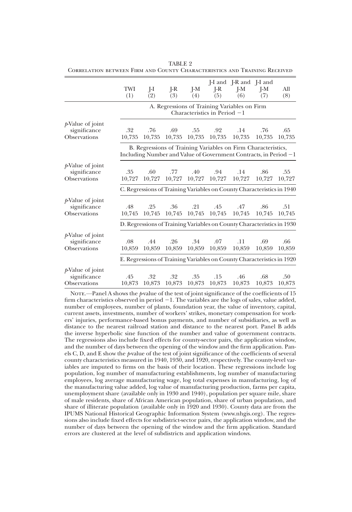|                     |                                                                        |                                                                        |        |        |                                | [-I and [-R and ]-I and                                                |        |        |  |  |  |  |  |
|---------------------|------------------------------------------------------------------------|------------------------------------------------------------------------|--------|--------|--------------------------------|------------------------------------------------------------------------|--------|--------|--|--|--|--|--|
|                     | TWI                                                                    | $I-I$                                                                  | $I-R$  | I-M    | $I-R$                          | $I-M$                                                                  | $I-M$  | All    |  |  |  |  |  |
|                     | (1)                                                                    | (2)                                                                    | (3)    | (4)    | (5)                            | (6)                                                                    | (7)    | (8)    |  |  |  |  |  |
|                     |                                                                        | A. Regressions of Training Variables on Firm                           |        |        |                                |                                                                        |        |        |  |  |  |  |  |
|                     |                                                                        |                                                                        |        |        | Characteristics in Period $-1$ |                                                                        |        |        |  |  |  |  |  |
| $p$ -Value of joint |                                                                        |                                                                        |        |        |                                |                                                                        |        |        |  |  |  |  |  |
| significance        | .32                                                                    | .76                                                                    | .69    | .55    | .92                            | .14                                                                    | .76    | .65    |  |  |  |  |  |
| Observations        | 10,735                                                                 | 10,735                                                                 | 10,735 | 10,735 | 10,735                         | 10,735                                                                 | 10,735 | 10,735 |  |  |  |  |  |
|                     |                                                                        |                                                                        |        |        |                                | B. Regressions of Training Variables on Firm Characteristics,          |        |        |  |  |  |  |  |
|                     |                                                                        |                                                                        |        |        |                                | Including Number and Value of Government Contracts, in Period -1       |        |        |  |  |  |  |  |
| $p$ -Value of joint |                                                                        |                                                                        |        |        |                                |                                                                        |        |        |  |  |  |  |  |
| significance        | .35                                                                    | .60                                                                    | .77    | .40    | .94                            | .14                                                                    | .86    | .55    |  |  |  |  |  |
| Observations        | 10.727                                                                 | 10,727                                                                 | 10,727 | 10,727 | 10,727                         | 10,727                                                                 | 10,727 | 10,727 |  |  |  |  |  |
|                     | C. Regressions of Training Variables on County Characteristics in 1940 |                                                                        |        |        |                                |                                                                        |        |        |  |  |  |  |  |
| $p$ -Value of joint |                                                                        |                                                                        |        |        |                                |                                                                        |        |        |  |  |  |  |  |
| significance        | .48                                                                    | .25                                                                    | .36    | .21    | .45                            | .47                                                                    | .86    | .51    |  |  |  |  |  |
| Observations        | 10,745                                                                 | 10,745                                                                 | 10,745 | 10,745 | 10,745                         | 10,745                                                                 | 10,745 | 10,745 |  |  |  |  |  |
|                     |                                                                        |                                                                        |        |        |                                | D. Regressions of Training Variables on County Characteristics in 1930 |        |        |  |  |  |  |  |
| $p$ -Value of joint |                                                                        |                                                                        |        |        |                                |                                                                        |        |        |  |  |  |  |  |
| significance        | .08                                                                    | .44                                                                    | .26    | .34    | .07                            | .11                                                                    | .69    | .66    |  |  |  |  |  |
| Observations        | 10,859                                                                 | 10,859                                                                 | 10,859 | 10,859 | 10,859                         | 10,859                                                                 | 10,859 | 10,859 |  |  |  |  |  |
|                     |                                                                        | E. Regressions of Training Variables on County Characteristics in 1920 |        |        |                                |                                                                        |        |        |  |  |  |  |  |
| $p$ -Value of joint |                                                                        |                                                                        |        |        |                                |                                                                        |        |        |  |  |  |  |  |
| significance        | .45                                                                    | .32                                                                    | .32    | .35    | .15                            | .46                                                                    | .68    | .50    |  |  |  |  |  |
| Observations        | 10,873                                                                 | 10,873                                                                 | 10,873 | 10,873 | 10,873                         | 10,873                                                                 | 10,873 | 10,873 |  |  |  |  |  |

TABLE 2 Correlation between Firm and County Characteristics and Training Received

NOTE.—Panel A shows the  $p$ -value of the test of joint significance of the coefficients of 15 firm characteristics observed in period  $-1$ . The variables are the logs of sales, value added, number of employees, number of plants, foundation year, the value of inventory, capital, current assets, investments, number of workers' strikes, monetary compensation for workers' injuries, performance-based bonus payments, and number of subsidiaries, as well as distance to the nearest railroad station and distance to the nearest port. Panel B adds the inverse hyperbolic sine function of the number and value of government contracts. The regressions also include fixed effects for county-sector pairs, the application window, and the number of days between the opening of the window and the firm application. Panels C, D, and E show the  $p$ -value of the test of joint significance of the coefficients of several county characteristics measured in 1940, 1930, and 1920, respectively. The county-level variables are imputed to firms on the basis of their location. These regressions include log population, log number of manufacturing establishments, log number of manufacturing employees, log average manufacturing wage, log total expenses in manufacturing, log of the manufacturing value added, log value of manufacturing production, farms per capita, unemployment share (available only in 1930 and 1940), population per square mile, share of male residents, share of African American population, share of urban population, and share of illiterate population (available only in 1920 and 1930). County data are from the IPUMS National Historical Geographic Information System (www.nhgis.org). The regressions also include fixed effects for subdistrict-sector pairs, the application window, and the number of days between the opening of the window and the firm application. Standard errors are clustered at the level of subdistricts and application windows.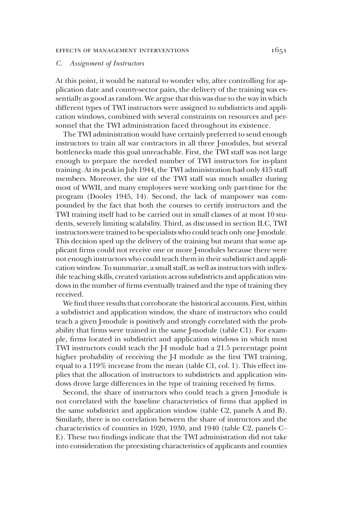# EFFECTS OF MANAGEMENT INTERVENTIONS 1651

# C. Assignment of Instructors

At this point, it would be natural to wonder why, after controlling for application date and county-sector pairs, the delivery of the training was essentially as good as random. We argue that this was due to the way in which different types of TWI instructors were assigned to subdistricts and application windows, combined with several constraints on resources and personnel that the TWI administration faced throughout its existence.

The TWI administration would have certainly preferred to send enough instructors to train all war contractors in all three J-modules, but several bottlenecks made this goal unreachable. First, the TWI staff was not large enough to prepare the needed number of TWI instructors for in-plant training. At its peak in July 1944, the TWI administration had only 415 staff members. Moreover, the size of the TWI staff was much smaller during most of WWII, and many employees were working only part-time for the program (Dooley 1945, 14). Second, the lack of manpower was compounded by the fact that both the courses to certify instructors and the TWI training itself had to be carried out in small classes of at most 10 students, severely limiting scalability. Third, as discussed in section II.C, TWI instructors were trained to be specialists who could teach only one J-module. This decision sped up the delivery of the training but meant that some applicant firms could not receive one or more J-modules because there were not enough instructors who could teach them in their subdistrict and application window. To summarize, a small staff, as well as instructors with inflexible teaching skills, created variation across subdistricts and application windows in the number of firms eventually trained and the type of training they received.

We find three results that corroborate the historical accounts. First, within a subdistrict and application window, the share of instructors who could teach a given J-module is positively and strongly correlated with the probability that firms were trained in the same J-module (table C1). For example, firms located in subdistrict and application windows in which most TWI instructors could teach the J-I module had a 21.5 percentage point higher probability of receiving the J-I module as the first TWI training, equal to a 119% increase from the mean (table C1, col. 1). This effect implies that the allocation of instructors to subdistricts and application windows drove large differences in the type of training received by firms.

Second, the share of instructors who could teach a given J-module is not correlated with the baseline characteristics of firms that applied in the same subdistrict and application window (table C2, panels A and B). Similarly, there is no correlation between the share of instructors and the characteristics of counties in 1920, 1930, and 1940 (table C2, panels C– E). These two findings indicate that the TWI administration did not take into consideration the preexisting characteristics of applicants and counties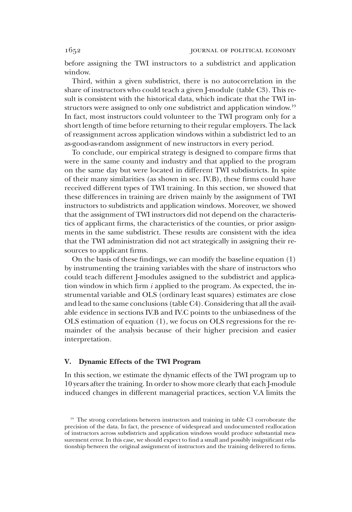before assigning the TWI instructors to a subdistrict and application window.

Third, within a given subdistrict, there is no autocorrelation in the share of instructors who could teach a given J-module (table C3). This result is consistent with the historical data, which indicate that the TWI instructors were assigned to only one subdistrict and application window.<sup>19</sup> In fact, most instructors could volunteer to the TWI program only for a short length of time before returning to their regular employers. The lack of reassignment across application windows within a subdistrict led to an as-good-as-random assignment of new instructors in every period.

To conclude, our empirical strategy is designed to compare firms that were in the same county and industry and that applied to the program on the same day but were located in different TWI subdistricts. In spite of their many similarities (as shown in sec. IV.B), these firms could have received different types of TWI training. In this section, we showed that these differences in training are driven mainly by the assignment of TWI instructors to subdistricts and application windows. Moreover, we showed that the assignment of TWI instructors did not depend on the characteristics of applicant firms, the characteristics of the counties, or prior assignments in the same subdistrict. These results are consistent with the idea that the TWI administration did not act strategically in assigning their resources to applicant firms.

On the basis of these findings, we can modify the baseline equation (1) by instrumenting the training variables with the share of instructors who could teach different J-modules assigned to the subdistrict and application window in which firm  $i$  applied to the program. As expected, the instrumental variable and OLS (ordinary least squares) estimates are close and lead to the same conclusions (table C4). Considering that all the available evidence in sections IV.B and IV.C points to the unbiasedness of the OLS estimation of equation (1), we focus on OLS regressions for the remainder of the analysis because of their higher precision and easier interpretation.

# V. Dynamic Effects of the TWI Program

In this section, we estimate the dynamic effects of the TWI program up to 10 years after the training. In order to show more clearly that each J-module induced changes in different managerial practices, section V.A limits the

<sup>&</sup>lt;sup>19</sup> The strong correlations between instructors and training in table C1 corroborate the precision of the data. In fact, the presence of widespread and undocumented reallocation of instructors across subdistricts and application windows would produce substantial measurement error. In this case, we should expect to find a small and possibly insignificant relationship between the original assignment of instructors and the training delivered to firms.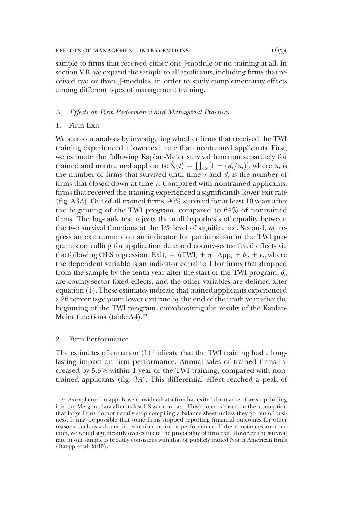sample to firms that received either one J-module or no training at all. In section V.B, we expand the sample to all applicants, including firms that received two or three J-modules, in order to study complementarity effects among different types of management training.

### A. Effects on Firm Performance and Managerial Practices

# 1. Firm Exit

We start our analysis by investigating whether firms that received the TWI training experienced a lower exit rate than nontrained applicants. First, we estimate the following Kaplan-Meier survival function separately for trained and nontrained applicants:  $\hat{S}_t(t) = \prod_{t \leq t} [1 - (d_{\tau}/n_{\tau})]$ , where  $n_{\tau}$  is the number of firms that survived until time  $\tau$  and  $d_{\tau}$  is the number of firms that closed down at time  $\tau$ . Compared with nontrained applicants, firms that received the training experienced a significantly lower exit rate (fig. A3A). Out of all trained firms, 90% survived for at least 10 years after the beginning of the TWI program, compared to 64% of nontrained firms. The log-rank test rejects the null hypothesis of equality between the two survival functions at the  $1\%$  level of significance. Second, we regress an exit dummy on an indicator for participation in the TWI program, controlling for application date and county-sector fixed effects via the following OLS regression:  $\text{Exit}_i = \beta \text{TWI}_i + \eta \cdot \text{App}_i + \delta_{\alpha} + \epsilon_i$ , where the dependent variable is an indicator equal to 1 for firms that dropped from the sample by the tenth year after the start of the TWI program,  $\delta_{cs}$ are county-sector fixed effects, and the other variables are defined after equation (1). These estimates indicate that trained applicants experienced a 26 percentage point lower exit rate by the end of the tenth year after the beginning of the TWI program, corroborating the results of the Kaplan-Meier functions (table A4).<sup>20</sup>

# 2. Firm Performance

The estimates of equation (1) indicate that the TWI training had a longlasting impact on firm performance. Annual sales of trained firms increased by 5.3% within 1 year of the TWI training, compared with nontrained applicants (fig. 3A). This differential effect reached a peak of

<sup>&</sup>lt;sup>20</sup> As explained in app. B, we consider that a firm has exited the market if we stop finding it in the Mergent data after its last US war contract. This choice is based on the assumption that large firms do not usually stop compiling a balance sheet unless they go out of business. It may be possible that some firms stopped reporting financial outcomes for other reasons, such as a dramatic reduction in size or performance. If these instances are common, we would significantly overestimate the probability of firm exit. However, the survival rate in our sample is broadly consistent with that of publicly traded North American firms (Daepp et al. 2015).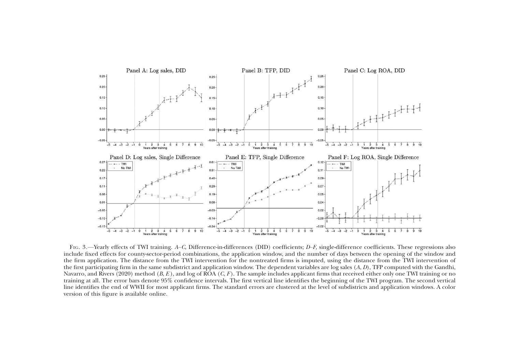

FIG. 3. —Yearly effects of TWI training. A–C, Difference-in-differences (DID) coefficients; D–F, single-difference coefficients. These regressions also include fixed effects for county-sector-period combinations, the application window, and the number of days between the opening of the window and the firm application. The distance from the TWI intervention for the nontreated firms is imputed, using the distance from the TWI intervention of the first participating firm in the same subdistrict and application window. The dependent variables are log sales ( A, D), TFP computed with the Gandhi, Navarro, and Rivers (2020) method (*B, E* ), and log of ROA (*C, F* ). The sample includes applicant firms that received either only one TWI training or no training at all. The error bars denote 95% confidence intervals. The first vertical line identifies the beginning of the TWI program. The second vertical line identifies the end of WWII for most applicant firms. The standard errors are clustered at the level of subdistricts and application windows. A color version of this figure is available online.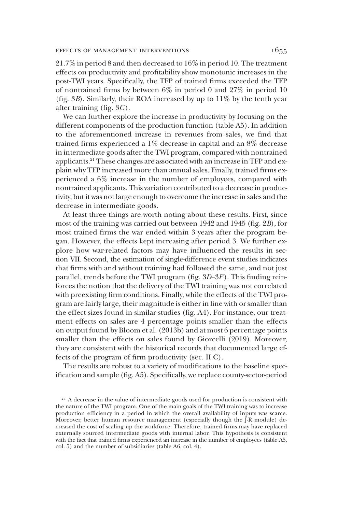21.7% in period 8 and then decreased to 16% in period 10. The treatment effects on productivity and profitability show monotonic increases in the post-TWI years. Specifically, the TFP of trained firms exceeded the TFP of nontrained firms by between 6% in period 0 and 27% in period 10 (fig.  $3B$ ). Similarly, their ROA increased by up to  $11\%$  by the tenth year after training (fig. 3C).

We can further explore the increase in productivity by focusing on the different components of the production function (table A5). In addition to the aforementioned increase in revenues from sales, we find that trained firms experienced a 1% decrease in capital and an 8% decrease in intermediate goods after the TWI program, compared with nontrained applicants.21 These changes are associated with an increase in TFP and explain why TFP increased more than annual sales. Finally, trained firms experienced a 6% increase in the number of employees, compared with nontrained applicants. This variation contributed to a decrease in productivity, but it was not large enough to overcome the increase in sales and the decrease in intermediate goods.

At least three things are worth noting about these results. First, since most of the training was carried out between 1942 and 1945 (fig. 2B), for most trained firms the war ended within 3 years after the program began. However, the effects kept increasing after period 3. We further explore how war-related factors may have influenced the results in section VII. Second, the estimation of single-difference event studies indicates that firms with and without training had followed the same, and not just parallel, trends before the TWI program (fig.  $3D-3F$ ). This finding reinforces the notion that the delivery of the TWI training was not correlated with preexisting firm conditions. Finally, while the effects of the TWI program are fairly large, their magnitude is either in line with or smaller than the effect sizes found in similar studies (fig. A4). For instance, our treatment effects on sales are 4 percentage points smaller than the effects on output found by Bloom et al. (2013b) and at most 6 percentage points smaller than the effects on sales found by Giorcelli (2019). Moreover, they are consistent with the historical records that documented large effects of the program of firm productivity (sec. II.C).

The results are robust to a variety of modifications to the baseline specification and sample (fig. A5). Specifically, we replace county-sector-period

<sup>&</sup>lt;sup>21</sup> A decrease in the value of intermediate goods used for production is consistent with the nature of the TWI program. One of the main goals of the TWI training was to increase production efficiency in a period in which the overall availability of inputs was scarce. Moreover, better human resource management (especially though the J-R module) decreased the cost of scaling up the workforce. Therefore, trained firms may have replaced externally sourced intermediate goods with internal labor. This hypothesis is consistent with the fact that trained firms experienced an increase in the number of employees (table A5, col. 5) and the number of subsidiaries (table A6, col. 4).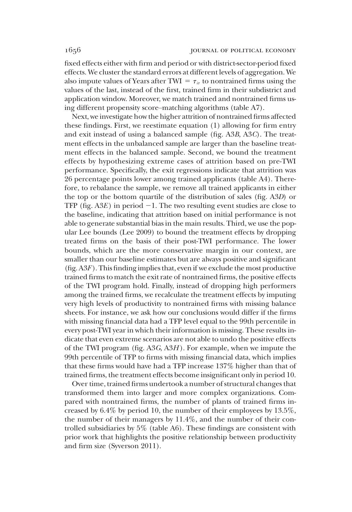fixed effects either with firm and period or with district-sector-period fixed effects. We cluster the standard errors at different levels of aggregation. We also impute values of Years after TWI =  $\tau_{ir}$  to nontrained firms using the values of the last, instead of the first, trained firm in their subdistrict and application window. Moreover, we match trained and nontrained firms using different propensity score–matching algorithms (table A7).

Next, we investigate how the higher attrition of nontrained firms affected these findings. First, we reestimate equation (1) allowing for firm entry and exit instead of using a balanced sample (fig. A3B, A3C). The treatment effects in the unbalanced sample are larger than the baseline treatment effects in the balanced sample. Second, we bound the treatment effects by hypothesizing extreme cases of attrition based on pre-TWI performance. Specifically, the exit regressions indicate that attrition was 26 percentage points lower among trained applicants (table A4). Therefore, to rebalance the sample, we remove all trained applicants in either the top or the bottom quartile of the distribution of sales (fig. A3D) or TFP (fig.  $A3E$ ) in period  $-1$ . The two resulting event studies are close to the baseline, indicating that attrition based on initial performance is not able to generate substantial bias in the main results. Third, we use the popular Lee bounds (Lee 2009) to bound the treatment effects by dropping treated firms on the basis of their post-TWI performance. The lower bounds, which are the more conservative margin in our context, are smaller than our baseline estimates but are always positive and significant (fig.  $A3F$ ). This finding implies that, even if we exclude the most productive trained firms to match the exit rate of nontrained firms, the positive effects of the TWI program hold. Finally, instead of dropping high performers among the trained firms, we recalculate the treatment effects by imputing very high levels of productivity to nontrained firms with missing balance sheets. For instance, we ask how our conclusions would differ if the firms with missing financial data had a TFP level equal to the 99th percentile in every post-TWI year in which their information is missing. These results indicate that even extreme scenarios are not able to undo the positive effects of the TWI program (fig.  $A3G, A3H$ ). For example, when we impute the 99th percentile of TFP to firms with missing financial data, which implies that these firms would have had a TFP increase 137% higher than that of trained firms, the treatment effects become insignificant only in period 10.

Over time, trained firms undertook a number of structural changes that transformed them into larger and more complex organizations. Compared with nontrained firms, the number of plants of trained firms increased by 6.4% by period 10, the number of their employees by 13.5%, the number of their managers by 11.4%, and the number of their controlled subsidiaries by 5% (table A6). These findings are consistent with prior work that highlights the positive relationship between productivity and firm size (Syverson 2011).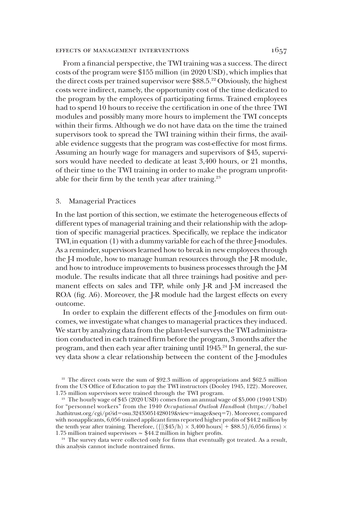### EFFECTS OF MANAGEMENT INTERVENTIONS  $1657$

From a financial perspective, the TWI training was a success. The direct costs of the program were \$155 million (in 2020 USD), which implies that the direct costs per trained supervisor were  $$88.5<sup>22</sup>$  Obviously, the highest costs were indirect, namely, the opportunity cost of the time dedicated to the program by the employees of participating firms. Trained employees had to spend 10 hours to receive the certification in one of the three TWI modules and possibly many more hours to implement the TWI concepts within their firms. Although we do not have data on the time the trained supervisors took to spread the TWI training within their firms, the available evidence suggests that the program was cost-effective for most firms. Assuming an hourly wage for managers and supervisors of \$45, supervisors would have needed to dedicate at least 3,400 hours, or 21 months, of their time to the TWI training in order to make the program unprofitable for their firm by the tenth year after training.<sup>23</sup>

### 3. Managerial Practices

In the last portion of this section, we estimate the heterogeneous effects of different types of managerial training and their relationship with the adoption of specific managerial practices. Specifically, we replace the indicator TWI<sub>i</sub> in equation (1) with a dummy variable for each of the three J-modules. As a reminder, supervisors learned how to break in new employees through the J-I module, how to manage human resources through the J-R module, and how to introduce improvements to business processes through the J-M module. The results indicate that all three trainings had positive and permanent effects on sales and TFP, while only J-R and J-M increased the ROA (fig. A6). Moreover, the J-R module had the largest effects on every outcome.

In order to explain the different effects of the J-modules on firm outcomes, we investigate what changes to managerial practices they induced. We start by analyzing data from the plant-level surveys the TWI administration conducted in each trained firm before the program, 3 months after the program, and then each year after training until 1945.<sup>24</sup> In general, the survey data show a clear relationship between the content of the J-modules

<sup>24</sup> The survey data were collected only for firms that eventually got treated. As a result, this analysis cannot include nontrained firms.

<sup>&</sup>lt;sup>22</sup> The direct costs were the sum of \$92.3 million of appropriations and \$62.5 million from the US Office of Education to pay the TWI instructors (Dooley 1945, 122). Moreover, 1.75 million supervisors were trained through the TWI program.

<sup>23</sup> The hourly wage of \$45 (2020 USD) comes from an annual wage of \$5,000 (1940 USD) for "personnel workers" from the 1940 Occupational Outlook Handbook (https://babel .hathitrust.org/cgi/pt?id=osu.32435051428019&view=image&seq=7). Moreover, compared with nonapplicants, 6,056 trained applicant firms reported higher profits of \$44.2 million by the tenth year after training. Therefore,  $\frac{1}{8}$ (\$45/h)  $\times$  3,400 hours + \$88.5}/6,056 firms)  $\times$ 1:75 million trained supervisors ≃ \$44:2 million in higher profits.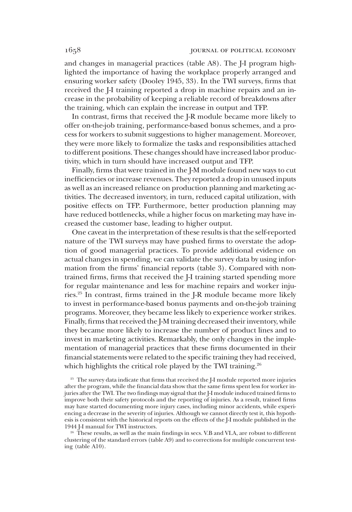and changes in managerial practices (table A8). The J-I program highlighted the importance of having the workplace properly arranged and ensuring worker safety (Dooley 1945, 33). In the TWI surveys, firms that received the J-I training reported a drop in machine repairs and an increase in the probability of keeping a reliable record of breakdowns after the training, which can explain the increase in output and TFP.

In contrast, firms that received the J-R module became more likely to offer on-the-job training, performance-based bonus schemes, and a process for workers to submit suggestions to higher management. Moreover, they were more likely to formalize the tasks and responsibilities attached to different positions. These changes should have increased labor productivity, which in turn should have increased output and TFP.

Finally, firms that were trained in the J-M module found new ways to cut inefficiencies or increase revenues. They reported a drop in unused inputs as well as an increased reliance on production planning and marketing activities. The decreased inventory, in turn, reduced capital utilization, with positive effects on TFP. Furthermore, better production planning may have reduced bottlenecks, while a higher focus on marketing may have increased the customer base, leading to higher output.

One caveat in the interpretation of these results is that the self-reported nature of the TWI surveys may have pushed firms to overstate the adoption of good managerial practices. To provide additional evidence on actual changes in spending, we can validate the survey data by using information from the firms' financial reports (table 3). Compared with nontrained firms, firms that received the J-I training started spending more for regular maintenance and less for machine repairs and worker injuries.25 In contrast, firms trained in the J-R module became more likely to invest in performance-based bonus payments and on-the-job training programs. Moreover, they became less likely to experience worker strikes. Finally, firms that received the J-M training decreased their inventory, while they became more likely to increase the number of product lines and to invest in marketing activities. Remarkably, the only changes in the implementation of managerial practices that these firms documented in their financial statements were related to the specific training they had received, which highlights the critical role played by the TWI training.<sup>26</sup>

<sup>26</sup> These results, as well as the main findings in secs. V.B and VI.A, are robust to different clustering of the standard errors (table A9) and to corrections for multiple concurrent testing (table A10).

<sup>&</sup>lt;sup>25</sup> The survey data indicate that firms that received the J-I module reported more injuries after the program, while the financial data show that the same firms spent less for worker injuries after the TWI. The two findings may signal that the J-I module induced trained firms to improve both their safety protocols and the reporting of injuries. As a result, trained firms may have started documenting more injury cases, including minor accidents, while experiencing a decrease in the severity of injuries. Although we cannot directly test it, this hypothesis is consistent with the historical reports on the effects of the J-I module published in the 1944 J-I manual for TWI instructors.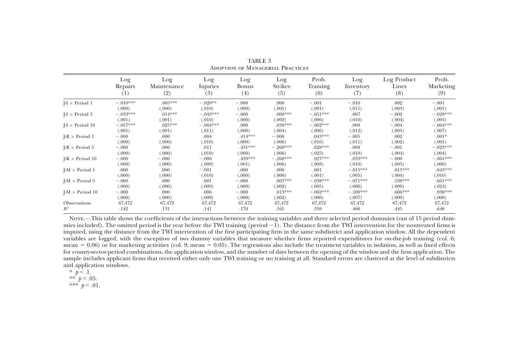|                         | Log<br>Repairs<br>$^{(1)}$ | Log<br>Maintenance<br>(2) | Log<br>Injuries<br>(3) | Log<br>Bonus<br>(4) | Log<br>Strikes<br>(5) | Prob.<br>Training<br>(6) | Log<br>Inventory<br>(7) | Log Product<br>Lines<br>(8) | Prob.<br>Marketing<br>(9) |
|-------------------------|----------------------------|---------------------------|------------------------|---------------------|-----------------------|--------------------------|-------------------------|-----------------------------|---------------------------|
| $I - I \times Period 1$ | $-.010***$                 | $.005***$                 | $-.020**$              | $-.000$             | .000                  | $-.001$                  | $-.010$                 | .002                        | $-.001$                   |
|                         | (.000)                     | (.000)                    | (.010)                 | (.000)              | (.001)                | (.001)                   | (.011)                  | (.003)                      | (.001)                    |
| $I-I \times Period 5$   | $-.033***$                 | $.014***$                 | $-.043***$             | $-.000$             | $.006***$             | $-.051***$               | .007                    | $-.002$                     | $-.028***$                |
|                         | (.001)                     | (.001)                    | (.010)                 | (.000)              | (.002)                | (.006)                   | (.010)                  | (.004)                      | (.005)                    |
| $I-I \times Period 10$  | $-.057***$                 | $.025***$                 | $-.064***$             | .000                | $.030***$             | $-.062***$               | .008                    | $-.004$                     | $-.064***$                |
|                         | (.001)                     | (.001)                    | (.011)                 | (.000)              | (.004)                | (.006)                   | (.012)                  | (.005)                      | (.007)                    |
| $I-R \times Period 1$   | $-.000$                    | .000                      | .004                   | $.414***$           | $-.000$               | $.043***$                | $-.005$                 | .002                        | $.001*$                   |
|                         | (.000)                     | (.000)                    | (.010)                 | (.000)              | (.000)                | (.010)                   | (.011)                  | (.002)                      | (.001)                    |
| $I-R \times Period 5$   | $-.000$                    | .000                      | .011                   | .431***             | $-.268***$            | $.628***$                | .008                    | $-.001$                     | $-.023***$                |
|                         | (.000)                     | (.000)                    | (.010)                 | (.000)              | (.006)                | (.025)                   | (.010)                  | (.004)                      | (.004)                    |
| $I-R \times Period 10$  | $-.000$                    | $-.000$                   | $-.000$                | .459***             | $-.268***$            | $.927***$                | $.033***$               | $-.000$                     | $-.061***$                |
|                         | (.000)                     | (.000)                    | (.009)                 | (.001)              | (.006)                | (.008)                   | (.010)                  | (.005)                      | (.006)                    |
| $I-M \times Period 1$   | .000                       | .000                      | $-.001$                | .000                | .000                  | .001                     | $-.015***$              | $.015***$                   | $.043***$                 |
|                         | (.000)                     | (.000)                    | (.010)                 | (.000)              | (000)                 | (.001)                   | (.005)                  | (.004)                      | (.010)                    |
| $I-M \times Period 5$   | $-.000$                    | .000                      | .001                   | $-.000$             | $.007***$             | $-.038***$               | $-.071***$              | .538***                     | $.661***$                 |
|                         | (.000)                     | (.000)                    | (.009)                 | (.000)              | (.002)                | (.005)                   | (.006)                  | (.009)                      | (.024)                    |
| $I-M \times Period 10$  | $-.000$                    | .000                      | .006                   | $-.000$             | $.013***$             | $-.062***$               | $-.100***$              | $.606***$                   | .930***                   |
|                         | (.000)                     | (.000)                    | (.009)                 | (.000)              | (.002)                | (.006)                   | (.007)                  | (.009)                      | (.008)                    |
| Observations            | 67,472                     | 67,472                    | 67,472                 | 67,472              | 67,472                | 67,472                   | 67,472                  | 67,472                      | 67,472                    |
| $R^2$                   | .142                       | .131                      | .141                   | .170                | .165                  | .559                     | .406                    | .445                        | .648                      |

TABLE 3Adoption of Managerial Practices

NOTE.—This table shows the coefficients of the interactions between the training variables and three selected period dummies (out of 15 period dummies included). The omitted period is the year before the TWI training (period  $-1$ ). The distance from the TWI intervention for the nontreated firms is imputed, using the distance from the TWI intervention of the first participating firm in the same subdistrict and application window. All the dependent variables are logged, with the exception of two dummy variables that measure whether firms reported expenditures for on-the-job training (col. 6; mean = 0.06) or for marketing activities (col. 9; mean = 0.05). The regressions also include the treatment variables in isolation, as well as fixed effects for county-sector-period combinations, the application window, and the number of days between the opening of the window and the firm application. The sample includes applicant firms that received either only one TWI training or no training at all. Standard errors are clustered at the level of subdistricts and application windows.

- \*  $p < 1$ .
- \*\*  $p < .05$ .
- \*\*\*  $p < .01$ .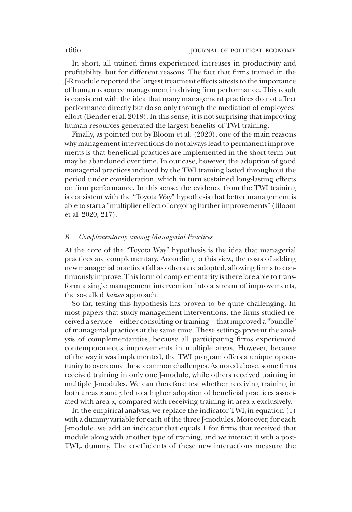In short, all trained firms experienced increases in productivity and profitability, but for different reasons. The fact that firms trained in the J-R module reported the largest treatment effects attests to the importance of human resource management in driving firm performance. This result is consistent with the idea that many management practices do not affect performance directly but do so only through the mediation of employees' effort (Bender et al. 2018). In this sense, it is not surprising that improving human resources generated the largest benefits of TWI training.

Finally, as pointed out by Bloom et al. (2020), one of the main reasons why management interventions do not always lead to permanent improvements is that beneficial practices are implemented in the short term but may be abandoned over time. In our case, however, the adoption of good managerial practices induced by the TWI training lasted throughout the period under consideration, which in turn sustained long-lasting effects on firm performance. In this sense, the evidence from the TWI training is consistent with the "Toyota Way" hypothesis that better management is able to start a "multiplier effect of ongoing further improvements" (Bloom et al. 2020, 217).

# B. Complementarity among Managerial Practices

At the core of the "Toyota Way" hypothesis is the idea that managerial practices are complementary. According to this view, the costs of adding new managerial practices fall as others are adopted, allowing firms to continuously improve. This form of complementarity is therefore able to transform a single management intervention into a stream of improvements, the so-called *kaizen* approach.

So far, testing this hypothesis has proven to be quite challenging. In most papers that study management interventions, the firms studied received a service—either consulting or training—that improved a "bundle" of managerial practices at the same time. These settings prevent the analysis of complementarities, because all participating firms experienced contemporaneous improvements in multiple areas. However, because of the way it was implemented, the TWI program offers a unique opportunity to overcome these common challenges. As noted above, some firms received training in only one J-module, while others received training in multiple J-modules. We can therefore test whether receiving training in both areas x and y led to a higher adoption of beneficial practices associated with area x, compared with receiving training in area x exclusively.

In the empirical analysis, we replace the indicator  $TWI_i$  in equation (1) with a dummy variable for each of the three J-modules. Moreover, for each J-module, we add an indicator that equals 1 for firms that received that module along with another type of training, and we interact it with a post- $\text{TWI}_{ir}$  dummy. The coefficients of these new interactions measure the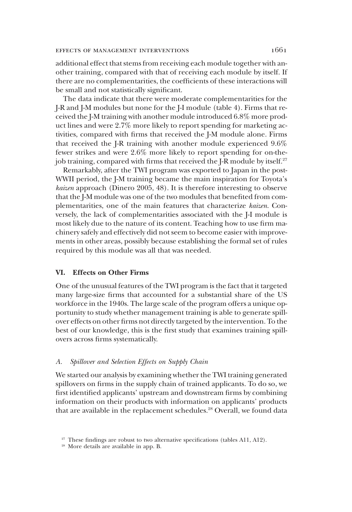### effects of management interventions 1661

additional effect that stems from receiving each module together with another training, compared with that of receiving each module by itself. If there are no complementarities, the coefficients of these interactions will be small and not statistically significant.

The data indicate that there were moderate complementarities for the J-R and J-M modules but none for the J-I module (table 4). Firms that received the J-M training with another module introduced 6.8% more product lines and were 2.7% more likely to report spending for marketing activities, compared with firms that received the J-M module alone. Firms that received the J-R training with another module experienced 9.6% fewer strikes and were 2.6% more likely to report spending for on-thejob training, compared with firms that received the J-R module by itself.<sup>27</sup>

Remarkably, after the TWI program was exported to Japan in the post-WWII period, the J-M training became the main inspiration for Toyota's kaizen approach (Dinero 2005, 48). It is therefore interesting to observe that the J-M module was one of the two modules that benefited from complementarities, one of the main features that characterize kaizen. Conversely, the lack of complementarities associated with the J-I module is most likely due to the nature of its content. Teaching how to use firm machinery safely and effectively did not seem to become easier with improvements in other areas, possibly because establishing the formal set of rules required by this module was all that was needed.

# VI. Effects on Other Firms

One of the unusual features of the TWI program is the fact that it targeted many large-size firms that accounted for a substantial share of the US workforce in the 1940s. The large scale of the program offers a unique opportunity to study whether management training is able to generate spillover effects on other firms not directly targeted by the intervention. To the best of our knowledge, this is the first study that examines training spillovers across firms systematically.

### A. Spillover and Selection Effects on Supply Chain

We started our analysis by examining whether the TWI training generated spillovers on firms in the supply chain of trained applicants. To do so, we first identified applicants' upstream and downstream firms by combining information on their products with information on applicants' products that are available in the replacement schedules.<sup>28</sup> Overall, we found data

 $27$  These findings are robust to two alternative specifications (tables A11, A12).

<sup>&</sup>lt;sup>28</sup> More details are available in app. B.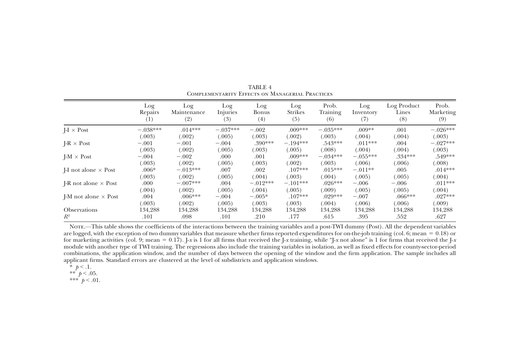|                               | Log<br>Repairs<br>$^{(1)}$ | Log<br>Maintenance<br>(2) | Log<br>Injuries<br>(3) | Log<br>Bonus<br>(4) | Log<br><b>Strikes</b><br>(5) | Prob.<br>Training<br>(6) | Log<br>Inventory<br>(7) | Log Product<br>Lines<br>(8) | Prob.<br>Marketing<br>(9) |
|-------------------------------|----------------------------|---------------------------|------------------------|---------------------|------------------------------|--------------------------|-------------------------|-----------------------------|---------------------------|
| $I-I \times Post$             | $-.038***$                 | $.014***$                 | $-.037***$             | $-.002$             | $.009***$                    | $-.035***$               | $.009**$                | .001                        | $-.026***$                |
|                               | (.003)                     | (.002)                    | (.005)                 | (.003)              | (.002)                       | (.003)                   | (.004)                  | (.004)                      | (.003)                    |
| $IR \times Post$              | $-.001$                    | $-.001$                   | $-.004$                | $.390***$           | $-.194***$                   | $.543***$                | $.011***$               | .004                        | $-.027***$                |
|                               | (.003)                     | (.002)                    | (.005)                 | (.003)              | (.005)                       | (.008)                   | (.004)                  | (.004)                      | (.003)                    |
| $I-M \times Post$             | $-.004$                    | $-.002$                   | .000                   | .001                | $.009***$                    | $-.034***$               | $-.055***$              | $.334***$                   | .549***                   |
|                               | (.003)                     | (.002)                    | (.005)                 | (.003)              | (.002)                       | (.003)                   | (.006)                  | (.006)                      | (.008)                    |
| $I-I$ not alone $\times$ Post | $.006*$                    | $-.013***$                | .007                   | .002                | $.107***$                    | $.015***$                | $-.011**$               | .005                        | $.014***$                 |
|                               | (.003)                     | (.002)                    | (.005)                 | (.004)              | (.003)                       | (.004)                   | (.005)                  | (.005)                      | (.004)                    |
| I-R not alone $\times$ Post   | .000                       | $-.007***$                | .004                   | $-.012***$          | $-.101***$                   | $.026***$                | $-.006$                 | $-.006$                     | $.011***$                 |
|                               | (.004)                     | (.002)                    | (.005)                 | (.004)              | (.005)                       | (.009)                   | (.005)                  | (.005)                      | (.004)                    |
| I-M not alone $\times$ Post   | .004                       | $.006***$                 | $-.004$                | $-.005*$            | $.107***$                    | $.029***$                | $-.007$                 | $.066***$                   | $.027***$                 |
|                               | (.003)                     | (.002)                    | (.005)                 | (.003)              | (.003)                       | (.004)                   | (.006)                  | (.006)                      | (.009)                    |
| <b>Observations</b>           | 134,288                    | 134.288                   | 134,288                | 134.288             | 134.288                      | 134.288                  | 134.288                 | 134.288                     | 134,288                   |
| $R^2$                         | .101                       | .098                      | .101                   | .210                | .177                         | .615                     | .395                    | .552                        | .627                      |

TABLE 4Complementarity Effects on Managerial Practices

Note.—This table shows the coefficients of the interactions between the training variables and <sup>a</sup> post-TWI dummy (Post). All the dependent variables are logged, with the exception of two dummy variables that measure whether firms reported expenditures for on-the-job training (col. 6; mean  $= 0.18$ ) or for marketing activities (col. 9; mean = 0.17). J-x is 1 for all firms that received the J-x training, while "J-x not alone" is 1 for firms that received the J-x module with another type of TWI training. The regressions also include the training variables in isolation, as well as fixed effects for county-sector-period combinations, the application window, and the number of days between the opening of the window and the firm application. The sample includes all applicant firms. Standard errors are clustered at the level of subdistricts and application windows.

$$
\ast
$$
 p < .1.

\*  $p < 0.1$ .<br>\*\*  $p < 0.05$ .

\*\*\*  $p < .01$ .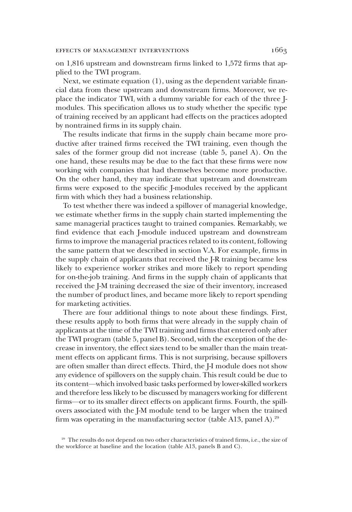on 1,816 upstream and downstream firms linked to 1,572 firms that applied to the TWI program.

Next, we estimate equation (1), using as the dependent variable financial data from these upstream and downstream firms. Moreover, we replace the indicator  $TWI_i$  with a dummy variable for each of the three  $I$ modules. This specification allows us to study whether the specific type of training received by an applicant had effects on the practices adopted by nontrained firms in its supply chain.

The results indicate that firms in the supply chain became more productive after trained firms received the TWI training, even though the sales of the former group did not increase (table 5, panel A). On the one hand, these results may be due to the fact that these firms were now working with companies that had themselves become more productive. On the other hand, they may indicate that upstream and downstream firms were exposed to the specific J-modules received by the applicant firm with which they had a business relationship.

To test whether there was indeed a spillover of managerial knowledge, we estimate whether firms in the supply chain started implementing the same managerial practices taught to trained companies. Remarkably, we find evidence that each J-module induced upstream and downstream firms to improve the managerial practices related to its content, following the same pattern that we described in section V.A. For example, firms in the supply chain of applicants that received the J-R training became less likely to experience worker strikes and more likely to report spending for on-the-job training. And firms in the supply chain of applicants that received the J-M training decreased the size of their inventory, increased the number of product lines, and became more likely to report spending for marketing activities.

There are four additional things to note about these findings. First, these results apply to both firms that were already in the supply chain of applicants at the time of the TWI training and firms that entered only after the TWI program (table 5, panel B). Second, with the exception of the decrease in inventory, the effect sizes tend to be smaller than the main treatment effects on applicant firms. This is not surprising, because spillovers are often smaller than direct effects. Third, the J-I module does not show any evidence of spillovers on the supply chain. This result could be due to its content—which involved basic tasks performed by lower-skilled workers and therefore less likely to be discussed by managers working for different firms—or to its smaller direct effects on applicant firms. Fourth, the spillovers associated with the J-M module tend to be larger when the trained firm was operating in the manufacturing sector (table A13, panel A).<sup>29</sup>

<sup>&</sup>lt;sup>29</sup> The results do not depend on two other characteristics of trained firms, i.e., the size of the workforce at baseline and the location (table A13, panels B and C).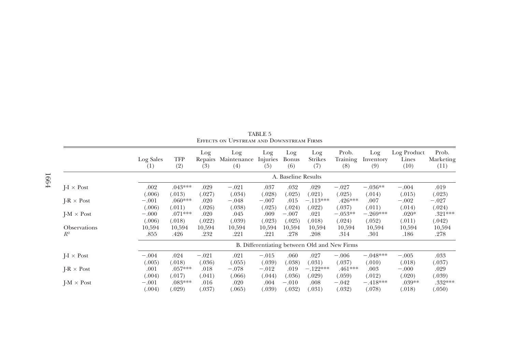|                     | Log Sales<br>(1)    | TFP<br>(2) | Log<br>Repairs<br>(3) | Log<br>Maintenance<br>(4) | Log<br>Injuries<br>(5) | Log<br>Bonus<br>(6) | Log<br>Strikes<br>(7)                        | Prob.<br>Training<br>(8) | Log<br>Inventory<br>(9) | Log Product<br>Lines<br>(10) | Prob.<br>Marketing<br>(11) |
|---------------------|---------------------|------------|-----------------------|---------------------------|------------------------|---------------------|----------------------------------------------|--------------------------|-------------------------|------------------------------|----------------------------|
|                     | A. Baseline Results |            |                       |                           |                        |                     |                                              |                          |                         |                              |                            |
| $I - I \times Post$ | .002                | $.043***$  | .029                  | $-.021$                   | .037                   | .032                | .029                                         | $-.027$                  | $-.036**$               | $-.004$                      | .019                       |
|                     | (.006)              | (.013)     | (.027)                | (.034)                    | (.028)                 | (.025)              | (.021)                                       | (.025)                   | (.014)                  | (.015)                       | (.023)                     |
| $I-R \times Post$   | $-.001$             | $0.060***$ | .020                  | $-.048$                   | $-.007$                | .015                | $-.113***$                                   | $.426***$                | .007                    | $-.002$                      | $-.027$                    |
|                     | (.006)              | (.011)     | (.026)                | (.038)                    | (.025)                 | (.024)              | (.022)                                       | (.037)                   | (.011)                  | (.014)                       | (.024)                     |
| $I-M \times Post$   | $-.000$             | $.071***$  | .020                  | .045                      | .009                   | $-.007$             | .021                                         | $-.053**$                | $-.269***$              | $.020*$                      | $.321***$                  |
|                     | (.006)              | (.018)     | (.022)                | (.039)                    | (.023)                 | (.025)              | (0.018)                                      | (.024)                   | (.052)                  | (.011)                       | (.042)                     |
| <b>Observations</b> | 10,594              | 10,594     | 10,594                | 10,594                    | 10,594                 | 10.594              | 10,594                                       | 10,594                   | 10,594                  | 10,594                       | 10,594                     |
| $R^2$               | .855                | .426       | .232                  | .221                      | .221                   | .278                | .208                                         | .314                     | .301                    | .186                         | .278                       |
|                     |                     |            |                       |                           |                        |                     | B. Differentiating between Old and New Firms |                          |                         |                              |                            |
| $I - I \times Post$ | $-.004$             | .024       | $-.021$               | .021                      | $-.015$                | .060                | .027                                         | $-.006$                  | $-.048***$              | $-.005$                      | .033                       |
|                     | (.005)              | (.018)     | (.036)                | (.055)                    | (.039)                 | (.038)              | (.031)                                       | (.037)                   | (.010)                  | (.018)                       | (.037)                     |
| $I-R \times Post$   | .001                | $.057***$  | .018                  | $-.078$                   | $-.012$                | .019                | $-.122***$                                   | .461***                  | .003                    | $-.000$                      | .029                       |
|                     | (.004)              | (.017)     | (.041)                | (.066)                    | (.044)                 | (.036)              | (.029)                                       | (.059)                   | (.012)                  | (.020)                       | (.039)                     |
| $I-M \times Post$   | $-.001$             | $.083***$  | .016                  | .020                      | .004                   | $-.010$             | .008                                         | $-.042$                  | $-.418***$              | $.039**$                     | .332***                    |
|                     | (.004)              | (.029)     | (.037)                | (.065)                    | (.039)                 | (.032)              | (.031)                                       | (.032)                   | (.078)                  | (.018)                       | (.050)                     |

TABLE 5Effects on Upstream and Downstream Firms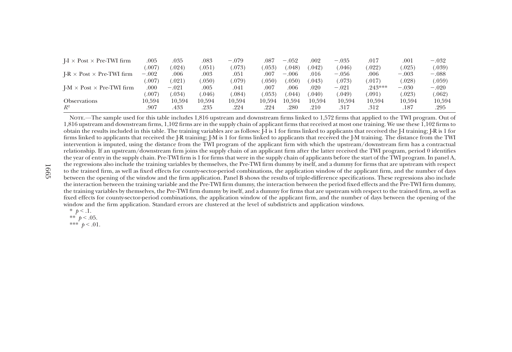| $I - I \times Post \times Pre-TWI$ firm | .005    | .035    | .083   | $-.079$ | .087   | $-.052$        | .002   | $-.035$ | .017      | $.001\,$ | $-.032$ |
|-----------------------------------------|---------|---------|--------|---------|--------|----------------|--------|---------|-----------|----------|---------|
|                                         | .007)   | 0.024   | .051   | .073)   | .053)  | $.048^{\circ}$ | .042)  | .046    | (0.022)   | (.025)   | (.039)  |
| $I-R \times Post \times Pre-TWI$ firm   | $-.002$ | .006    | .003   | .051    | .007   | $-.006$        | .016   | $-.056$ | .006      | $-.003$  | $-.088$ |
|                                         | .007)   | (.021)  | .050)  | .079)   | .050)  | $.050^{\circ}$ | .043)  | (073)   | (017)     | (.028)   | (.059)  |
| $I-M \times Post \times Pre-TWI$ firm   | .000    | $-.021$ | .005   | .041    | .007   | .006           | .020   | $-.021$ | $.243***$ | $-.030$  | $-.020$ |
|                                         | .007    | (.034)  | .046)  | .084)   | .053)  | .044`          | .040)  | 0.049   | .091)     | (.023)   | (.062)  |
| <b>Observations</b>                     | 10.594  | 10.594  | 10.594 | 10.594  | 10.594 | 10.594         | 10.594 | 10.594  | 10.594    | 10.594   | 10.594  |
| $R^2$                                   | .907    | .433    | .235   | .224    | .224   | .280           | .210   | .317    | .312      | .187     | .295    |

Note.—The sample used for this table includes 1,816 upstream and downstream firms linked to 1,572 firms that applied to the TWI program. Out of 1,816 upstream and downstream firms, 1,102 firms are in the supply chain of applicant firms that received at most one training. We use these 1,102 firms to obtain the results included in this table. The training variables are as follows: J-I is 1 for firms linked to applicants that received the J-I training; J-R is 1 for firms linked to applicants that received the J-R training; J-M is 1 for firms linked to applicants that received the J-M training. The distance from the TWI intervention is imputed, using the distance from the TWI program of the applicant firm with which the upstream/downstream firm has <sup>a</sup> contractual relationship. If an upstream/downstream firm joins the supply chain of an applicant firm after the latter received the TWI program, period 0 identifies the year of entry in the supply chain. Pre-TWI firm is 1 for firms that were in the supply chain of applicants before the start of the TWI program. In panel A, the regressions also include the training variables by themselves, the Pre-TWI firm dummy by itself, and <sup>a</sup> dummy for firms that are upstream with respec<sup>t</sup> to the trained firm, as well as fixed effects for county-sector-period combinations, the application window of the applicant firm, and the number of days between the opening of the window and the firm application. Panel <sup>B</sup> shows the results of triple-difference specifications. These regressions also include the interaction between the training variable and the Pre-TWI firm dummy, the interaction between the period fixed effects and the Pre-TWI firm dummy, the training variables by themselves, the Pre-TWI firm dummy by itself, and <sup>a</sup> dummy for firms that are upstream with respec<sup>t</sup> to the trained firm, as well as fixed effects for county-sector-period combinations, the application window of the applicant firm, and the number of days between the opening of the window and the firm application. Standard errors are clustered at the level of subdistricts and application windows.

- \*  $p < 1$ .
- \*\*  $p < .05$ .
- \*\*\*  $p < .01$ .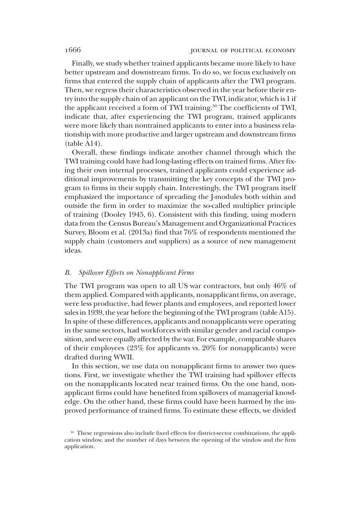Finally, we study whether trained applicants became more likely to have better upstream and downstream firms. To do so, we focus exclusively on firms that entered the supply chain of applicants after the TWI program. Then, we regress their characteristics observed in the year before their entry into the supply chain of an applicant on the  $TWI_i$  indicator, which is 1 if the applicant received a form of TWI training.<sup>30</sup> The coefficients of TWI<sub>i</sub> indicate that, after experiencing the TWI program, trained applicants were more likely than nontrained applicants to enter into a business relationship with more productive and larger upstream and downstream firms (table A14).

Overall, these findings indicate another channel through which the TWI training could have had long-lasting effects on trained firms. After fixing their own internal processes, trained applicants could experience additional improvements by transmitting the key concepts of the TWI program to firms in their supply chain. Interestingly, the TWI program itself emphasized the importance of spreading the J-modules both within and outside the firm in order to maximize the so-called multiplier principle of training (Dooley 1945, 6). Consistent with this finding, using modern data from the Census Bureau's Management and Organizational Practices Survey, Bloom et al. (2013a) find that 76% of respondents mentioned the supply chain (customers and suppliers) as a source of new management ideas.

# B. Spillover Effects on Nonapplicant Firms

The TWI program was open to all US war contractors, but only 46% of them applied. Compared with applicants, nonapplicant firms, on average, were less productive, had fewer plants and employees, and reported lower sales in 1939, the year before the beginning of the TWI program (table A15). In spite of these differences, applicants and nonapplicants were operating in the same sectors, had workforces with similar gender and racial composition, and were equally affected by the war. For example, comparable shares of their employees (23% for applicants vs. 20% for nonapplicants) were drafted during WWII.

In this section, we use data on nonapplicant firms to answer two questions. First, we investigate whether the TWI training had spillover effects on the nonapplicants located near trained firms. On the one hand, nonapplicant firms could have benefited from spillovers of managerial knowledge. On the other hand, these firms could have been harmed by the improved performance of trained firms. To estimate these effects, we divided

<sup>&</sup>lt;sup>30</sup> These regressions also include fixed effects for district-sector combinations, the application window, and the number of days between the opening of the window and the firm application.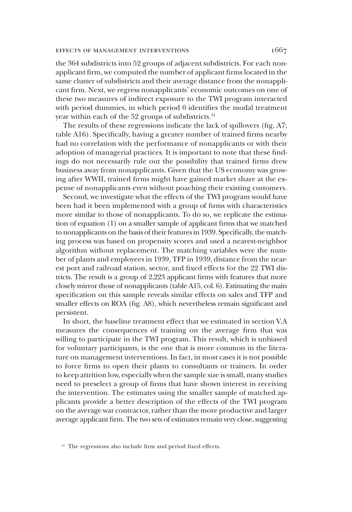### effects of management interventions 1667

the 364 subdistricts into 52 groups of adjacent subdistricts. For each nonapplicant firm, we computed the number of applicant firms located in the same cluster of subdistricts and their average distance from the nonapplicant firm. Next, we regress nonapplicants' economic outcomes on one of these two measures of indirect exposure to the TWI program interacted with period dummies, in which period 0 identifies the modal treatment year within each of the 52 groups of subdistricts.<sup>31</sup>

The results of these regressions indicate the lack of spillovers (fig. A7; table A16). Specifically, having a greater number of trained firms nearby had no correlation with the performance of nonapplicants or with their adoption of managerial practices. It is important to note that these findings do not necessarily rule out the possibility that trained firms drew business away from nonapplicants. Given that the US economy was growing after WWII, trained firms might have gained market share at the expense of nonapplicants even without poaching their existing customers.

Second, we investigate what the effects of the TWI program would have been had it been implemented with a group of firms with characteristics more similar to those of nonapplicants. To do so, we replicate the estimation of equation (1) on a smaller sample of applicant firms that we matched to nonapplicants on the basis of their features in 1939. Specifically, thematching process was based on propensity scores and used a nearest-neighbor algorithm without replacement. The matching variables were the number of plants and employees in 1939, TFP in 1939, distance from the nearest port and railroad station, sector, and fixed effects for the 22 TWI districts. The result is a group of 2,223 applicant firms with features that more closely mirror those of nonapplicants (table A15, col. 6). Estimating the main specification on this sample reveals similar effects on sales and TFP and smaller effects on ROA (fig. A8), which nevertheless remain significant and persistent.

In short, the baseline treatment effect that we estimated in section V.A measures the consequences of training on the average firm that was willing to participate in the TWI program. This result, which is unbiased for voluntary participants, is the one that is more common in the literature on management interventions. In fact, in most cases it is not possible to force firms to open their plants to consultants or trainers. In order to keep attrition low, especially when the sample size is small, many studies need to preselect a group of firms that have shown interest in receiving the intervention. The estimates using the smaller sample of matched applicants provide a better description of the effects of the TWI program on the average war contractor, rather than the more productive and larger average applicant firm. The two sets of estimates remain very close, suggesting

<sup>&</sup>lt;sup>31</sup> The regressions also include firm and period fixed effects.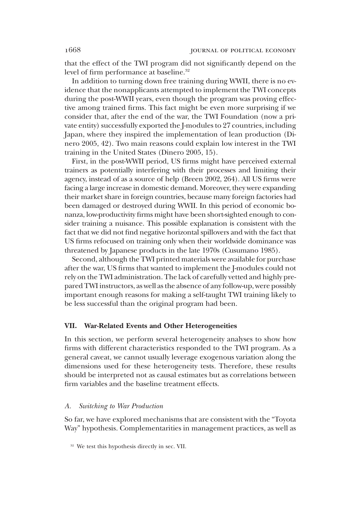that the effect of the TWI program did not significantly depend on the level of firm performance at baseline.<sup>32</sup>

In addition to turning down free training during WWII, there is no evidence that the nonapplicants attempted to implement the TWI concepts during the post-WWII years, even though the program was proving effective among trained firms. This fact might be even more surprising if we consider that, after the end of the war, the TWI Foundation (now a private entity) successfully exported the J-modules to 27 countries, including Japan, where they inspired the implementation of lean production (Dinero 2005, 42). Two main reasons could explain low interest in the TWI training in the United States (Dinero 2005, 15).

First, in the post-WWII period, US firms might have perceived external trainers as potentially interfering with their processes and limiting their agency, instead of as a source of help (Breen 2002, 264). All US firms were facing a large increase in domestic demand. Moreover, they were expanding their market share in foreign countries, because many foreign factories had been damaged or destroyed during WWII. In this period of economic bonanza, low-productivity firms might have been short-sighted enough to consider training a nuisance. This possible explanation is consistent with the fact that we did not find negative horizontal spillovers and with the fact that US firms refocused on training only when their worldwide dominance was threatened by Japanese products in the late 1970s (Cusumano 1985).

Second, although the TWI printed materials were available for purchase after the war, US firms that wanted to implement the J-modules could not rely on the TWI administration. The lack of carefully vetted and highly prepared TWI instructors, as well as the absence of any follow-up, were possibly important enough reasons for making a self-taught TWI training likely to be less successful than the original program had been.

### VII. War-Related Events and Other Heterogeneities

In this section, we perform several heterogeneity analyses to show how firms with different characteristics responded to the TWI program. As a general caveat, we cannot usually leverage exogenous variation along the dimensions used for these heterogeneity tests. Therefore, these results should be interpreted not as causal estimates but as correlations between firm variables and the baseline treatment effects.

### A. Switching to War Production

So far, we have explored mechanisms that are consistent with the "Toyota Way" hypothesis. Complementarities in management practices, as well as

<sup>&</sup>lt;sup>32</sup> We test this hypothesis directly in sec. VII.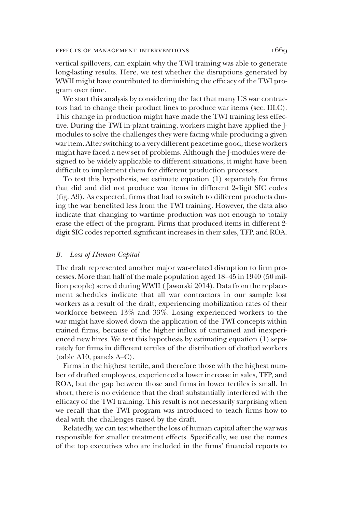### effects of management interventions 1669

vertical spillovers, can explain why the TWI training was able to generate long-lasting results. Here, we test whether the disruptions generated by WWII might have contributed to diminishing the efficacy of the TWI program over time.

We start this analysis by considering the fact that many US war contractors had to change their product lines to produce war items (sec. III.C). This change in production might have made the TWI training less effective. During the TWI in-plant training, workers might have applied the Jmodules to solve the challenges they were facing while producing a given war item. After switching to a very different peacetime good, these workers might have faced a new set of problems. Although the J-modules were designed to be widely applicable to different situations, it might have been difficult to implement them for different production processes.

To test this hypothesis, we estimate equation (1) separately for firms that did and did not produce war items in different 2-digit SIC codes (fig. A9). As expected, firms that had to switch to different products during the war benefited less from the TWI training. However, the data also indicate that changing to wartime production was not enough to totally erase the effect of the program. Firms that produced items in different 2 digit SIC codes reported significant increases in their sales, TFP, and ROA.

### B. Loss of Human Capital

The draft represented another major war-related disruption to firm processes. More than half of the male population aged 18–45 in 1940 (50 million people) served during WWII ( Jaworski 2014). Data from the replacement schedules indicate that all war contractors in our sample lost workers as a result of the draft, experiencing mobilization rates of their workforce between 13% and 33%. Losing experienced workers to the war might have slowed down the application of the TWI concepts within trained firms, because of the higher influx of untrained and inexperienced new hires. We test this hypothesis by estimating equation (1) separately for firms in different tertiles of the distribution of drafted workers (table A10, panels A–C).

Firms in the highest tertile, and therefore those with the highest number of drafted employees, experienced a lower increase in sales, TFP, and ROA, but the gap between those and firms in lower tertiles is small. In short, there is no evidence that the draft substantially interfered with the efficacy of the TWI training. This result is not necessarily surprising when we recall that the TWI program was introduced to teach firms how to deal with the challenges raised by the draft.

Relatedly, we can test whether the loss of human capital after the war was responsible for smaller treatment effects. Specifically, we use the names of the top executives who are included in the firms' financial reports to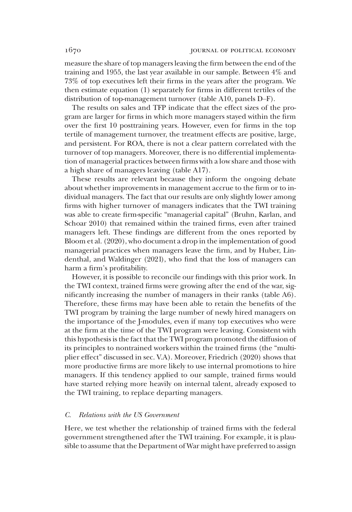measure the share of top managers leaving the firm between the end of the training and 1955, the last year available in our sample. Between 4% and 73% of top executives left their firms in the years after the program. We then estimate equation (1) separately for firms in different tertiles of the distribution of top-management turnover (table A10, panels D–F).

The results on sales and TFP indicate that the effect sizes of the program are larger for firms in which more managers stayed within the firm over the first 10 posttraining years. However, even for firms in the top tertile of management turnover, the treatment effects are positive, large, and persistent. For ROA, there is not a clear pattern correlated with the turnover of top managers. Moreover, there is no differential implementation of managerial practices between firms with a low share and those with a high share of managers leaving (table A17).

These results are relevant because they inform the ongoing debate about whether improvements in management accrue to the firm or to individual managers. The fact that our results are only slightly lower among firms with higher turnover of managers indicates that the TWI training was able to create firm-specific "managerial capital" (Bruhn, Karlan, and Schoar 2010) that remained within the trained firms, even after trained managers left. These findings are different from the ones reported by Bloom et al. (2020), who document a drop in the implementation of good managerial practices when managers leave the firm, and by Huber, Lindenthal, and Waldinger (2021), who find that the loss of managers can harm a firm's profitability.

However, it is possible to reconcile our findings with this prior work. In the TWI context, trained firms were growing after the end of the war, significantly increasing the number of managers in their ranks (table A6). Therefore, these firms may have been able to retain the benefits of the TWI program by training the large number of newly hired managers on the importance of the J-modules, even if many top executives who were at the firm at the time of the TWI program were leaving. Consistent with this hypothesis is the fact that the TWI program promoted the diffusion of its principles to nontrained workers within the trained firms (the "multiplier effect" discussed in sec. V.A). Moreover, Friedrich (2020) shows that more productive firms are more likely to use internal promotions to hire managers. If this tendency applied to our sample, trained firms would have started relying more heavily on internal talent, already exposed to the TWI training, to replace departing managers.

# C. Relations with the US Government

Here, we test whether the relationship of trained firms with the federal government strengthened after the TWI training. For example, it is plausible to assume that the Department of War might have preferred to assign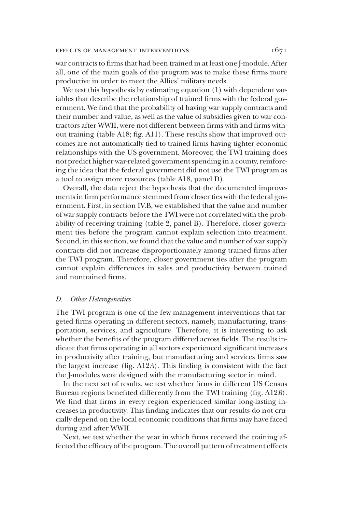# EFFECTS OF MANAGEMENT INTERVENTIONS 1671

war contracts to firms that had been trained in at least one J-module. After all, one of the main goals of the program was to make these firms more productive in order to meet the Allies' military needs.

We test this hypothesis by estimating equation (1) with dependent variables that describe the relationship of trained firms with the federal government. We find that the probability of having war supply contracts and their number and value, as well as the value of subsidies given to war contractors after WWII, were not different between firms with and firms without training (table A18; fig. A11). These results show that improved outcomes are not automatically tied to trained firms having tighter economic relationships with the US government. Moreover, the TWI training does not predict higher war-related government spending in a county, reinforcing the idea that the federal government did not use the TWI program as a tool to assign more resources (table A18, panel D).

Overall, the data reject the hypothesis that the documented improvements in firm performance stemmed from closer ties with the federal government. First, in section IV.B, we established that the value and number of war supply contracts before the TWI were not correlated with the probability of receiving training (table 2, panel B). Therefore, closer government ties before the program cannot explain selection into treatment. Second, in this section, we found that the value and number of war supply contracts did not increase disproportionately among trained firms after the TWI program. Therefore, closer government ties after the program cannot explain differences in sales and productivity between trained and nontrained firms.

# D. Other Heterogeneities

The TWI program is one of the few management interventions that targeted firms operating in different sectors, namely, manufacturing, transportation, services, and agriculture. Therefore, it is interesting to ask whether the benefits of the program differed across fields. The results indicate that firms operating in all sectors experienced significant increases in productivity after training, but manufacturing and services firms saw the largest increase (fig. A12A). This finding is consistent with the fact the J-modules were designed with the manufacturing sector in mind.

In the next set of results, we test whether firms in different US Census Bureau regions benefited differently from the TWI training (fig. A12B). We find that firms in every region experienced similar long-lasting increases in productivity. This finding indicates that our results do not crucially depend on the local economic conditions that firms may have faced during and after WWII.

Next, we test whether the year in which firms received the training affected the efficacy of the program. The overall pattern of treatment effects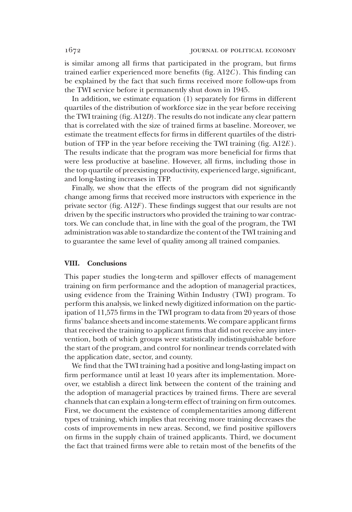is similar among all firms that participated in the program, but firms trained earlier experienced more benefits (fig.  $A12C$ ). This finding can be explained by the fact that such firms received more follow-ups from the TWI service before it permanently shut down in 1945.

In addition, we estimate equation (1) separately for firms in different quartiles of the distribution of workforce size in the year before receiving the TWI training (fig. A12D). The results do not indicate any clear pattern that is correlated with the size of trained firms at baseline. Moreover, we estimate the treatment effects for firms in different quartiles of the distribution of TFP in the year before receiving the TWI training (fig. A12E ). The results indicate that the program was more beneficial for firms that were less productive at baseline. However, all firms, including those in the top quartile of preexisting productivity, experienced large, significant, and long-lasting increases in TFP.

Finally, we show that the effects of the program did not significantly change among firms that received more instructors with experience in the private sector (fig.  $A12F$ ). These findings suggest that our results are not driven by the specific instructors who provided the training to war contractors. We can conclude that, in line with the goal of the program, the TWI administration was able to standardize the content of the TWI training and to guarantee the same level of quality among all trained companies.

## VIII. Conclusions

This paper studies the long-term and spillover effects of management training on firm performance and the adoption of managerial practices, using evidence from the Training Within Industry (TWI) program. To perform this analysis, we linked newly digitized information on the participation of 11,575 firms in the TWI program to data from 20 years of those firms' balance sheets and income statements. We compare applicant firms that received the training to applicant firms that did not receive any intervention, both of which groups were statistically indistinguishable before the start of the program, and control for nonlinear trends correlated with the application date, sector, and county.

We find that the TWI training had a positive and long-lasting impact on firm performance until at least 10 years after its implementation. Moreover, we establish a direct link between the content of the training and the adoption of managerial practices by trained firms. There are several channels that can explain a long-term effect of training on firm outcomes. First, we document the existence of complementarities among different types of training, which implies that receiving more training decreases the costs of improvements in new areas. Second, we find positive spillovers on firms in the supply chain of trained applicants. Third, we document the fact that trained firms were able to retain most of the benefits of the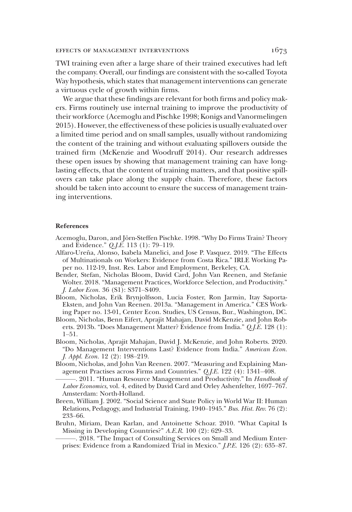TWI training even after a large share of their trained executives had left the company. Overall, our findings are consistent with the so-called Toyota Way hypothesis, which states that management interventions can generate a virtuous cycle of growth within firms.

We argue that these findings are relevant for both firms and policy makers. Firms routinely use internal training to improve the productivity of their workforce (Acemoglu and Pischke 1998; Konigs and Vanormelingen 2015). However, the effectiveness of these policies is usually evaluated over a limited time period and on small samples, usually without randomizing the content of the training and without evaluating spillovers outside the trained firm (McKenzie and Woodruff 2014). Our research addresses these open issues by showing that management training can have longlasting effects, that the content of training matters, and that positive spillovers can take place along the supply chain. Therefore, these factors should be taken into account to ensure the success of management training interventions.

### References

- Acemoglu, Daron, and Jörn-Steffen Pischke. 1998. "Why Do Firms Train? Theory and Evidence." Q.J.E. 113 (1): 79–119.
- Alfaro-Ureña, Alonso, Isabela Manelici, and Jose P. Vasquez. 2019. "The Effects of Multinationals on Workers: Evidence from Costa Rica." IRLE Working Paper no. 112-19, Inst. Res. Labor and Employment, Berkeley, CA.
- Bender, Stefan, Nicholas Bloom, David Card, John Van Reenen, and Stefanie Wolter. 2018. "Management Practices, Workforce Selection, and Productivity." J. Labor Econ. 36 (S1): S371–S409.
- Bloom, Nicholas, Erik Brynjolfsson, Lucia Foster, Ron Jarmin, Itay Saporta-Eksten, and John Van Reenen. 2013a. "Management in America." CES Working Paper no. 13-01, Center Econ. Studies, US Census, Bur., Washington, DC.
- Bloom, Nicholas, Benn Eifert, Aprajit Mahajan, David McKenzie, and John Roberts. 2013b. "Does Management Matter? Evidence from India." Q.J.E. 128 (1): 1–51.
- Bloom, Nicholas, Aprajit Mahajan, David J. McKenzie, and John Roberts. 2020. "Do Management Interventions Last? Evidence from India." American Econ. J. Appl. Econ. 12 (2): 198–219.
- Bloom, Nicholas, and John Van Reenen. 2007. "Measuring and Explaining Management Practises across Firms and Countries." Q.J.E. 122 (4): 1341–408.
- -. 2011. "Human Resource Management and Productivity." In Handbook of Labor Economics, vol. 4, edited by David Card and Orley Ashenfelter, 1697–767. Amsterdam: North-Holland.
- Breen, William J. 2002. "Social Science and State Policy in World War II: Human Relations, Pedagogy, and Industrial Training, 1940–1945." Bus. Hist. Rev. 76 (2): 233–66.
- Bruhn, Miriam, Dean Karlan, and Antoinette Schoar. 2010. "What Capital Is Missing in Developing Countries?" A.E.R. 100 (2): 629–33.
	- ———. 2018. "The Impact of Consulting Services on Small and Medium Enterprises: Evidence from a Randomized Trial in Mexico." J.P.E. 126 (2): 635–87.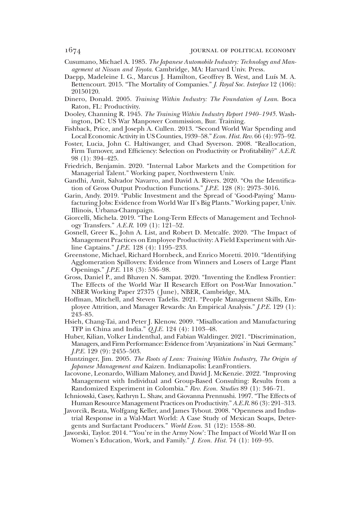- 
- Cusumano, Michael A. 1985. The Japanese Automobile Industry: Technology and Management at Nissan and Toyota. Cambridge, MA: Harvard Univ. Press.
- Daepp, Madeleine I. G., Marcus J. Hamilton, Geoffrey B. West, and Luís M. A. Bettencourt. 2015. "The Mortality of Companies." *J. Royal Soc. Interface* 12 (106): 20150120.
- Dinero, Donald. 2005. Training Within Industry: The Foundation of Lean. Boca Raton, FL: Productivity.
- Dooley, Channing R. 1945. The Training Within Industry Report 1940–1945. Washington, DC: US War Manpower Commission, Bur. Training.
- Fishback, Price, and Joseph A. Cullen. 2013. "Second World War Spending and Local Economic Activity in US Counties, 1939–58." Econ. Hist. Rev. 66 (4): 975–92.
- Foster, Lucia, John C. Haltiwanger, and Chad Syverson. 2008. "Reallocation, Firm Turnover, and Efficiency: Selection on Productivity or Profitability?" A.E.R. 98 (1): 394–425.
- Friedrich, Benjamin. 2020. "Internal Labor Markets and the Competition for Managerial Talent." Working paper, Northwestern Univ.
- Gandhi, Amit, Salvador Navarro, and David A. Rivers. 2020. "On the Identification of Gross Output Production Functions." J.P.E. 128 (8): 2973–3016.
- Garin, Andy. 2019. "Public Investment and the Spread of 'Good-Paying' Manufacturing Jobs: Evidence from World War II's Big Plants." Working paper, Univ. Illinois, Urbana-Champaign.
- Giorcelli, Michela. 2019. "The Long-Term Effects of Management and Technology Transfers." A.E.R. 109 (1): 121–52.
- Gosnell, Greer K., John A. List, and Robert D. Metcalfe. 2020. "The Impact of Management Practices on Employee Productivity: A Field Experiment with Airline Captains." J.P.E. 128 (4): 1195–233.
- Greenstone, Michael, Richard Hornbeck, and Enrico Moretti. 2010. "Identifying Agglomeration Spillovers: Evidence from Winners and Losers of Large Plant Openings." J.P.E. 118 (3): 536–98.
- Gross, Daniel P., and Bhaven N. Sampat. 2020. "Inventing the Endless Frontier: The Effects of the World War II Research Effort on Post-War Innovation." NBER Working Paper 27375 ( June), NBER, Cambridge, MA.
- Hoffman, Mitchell, and Steven Tadelis. 2021. "People Management Skills, Employee Attrition, and Manager Rewards: An Empirical Analysis." J.P.E. 129 (1): 243–85.
- Hsieh, Chang-Tai, and Peter J. Klenow. 2009. "Misallocation and Manufacturing TFP in China and India." Q.J.E. 124 (4): 1103–48.
- Huber, Kilian, Volker Lindenthal, and Fabian Waldinger. 2021. "Discrimination, Managers, and Firm Performance: Evidence from'Aryanizations'in Nazi Germany." J.P.E. 129 (9): 2455–503.
- Huntzinger, Jim. 2005. The Roots of Lean: Training Within Industry, The Origin of Japanese Management and Kaizen. Indianapolis: LeanFrontiers.
- Iacovone, Leonardo, William Maloney, and David J. McKenzie. 2022. "Improving Management with Individual and Group-Based Consulting: Results from a Randomized Experiment in Colombia." Rev. Econ. Studies 89 (1): 346–71.
- Ichniowski, Casey, Kathryn L. Shaw, and Giovanna Prennushi. 1997. "The Effects of Human Resource Management Practices on Productivity." A.E.R. 86 (3): 291–313.
- Javorcik, Beata, Wolfgang Keller, and James Tybout. 2008. "Openness and Industrial Response in a Wal-Mart World: A Case Study of Mexican Soaps, Detergents and Surfactant Producers." World Econ. 31 (12): 1558–80.
- Jaworski, Taylor. 2014. "'You're in the Army Now': The Impact of World War II on Women's Education, Work, and Family." *J. Econ. Hist.* 74 (1): 169-95.